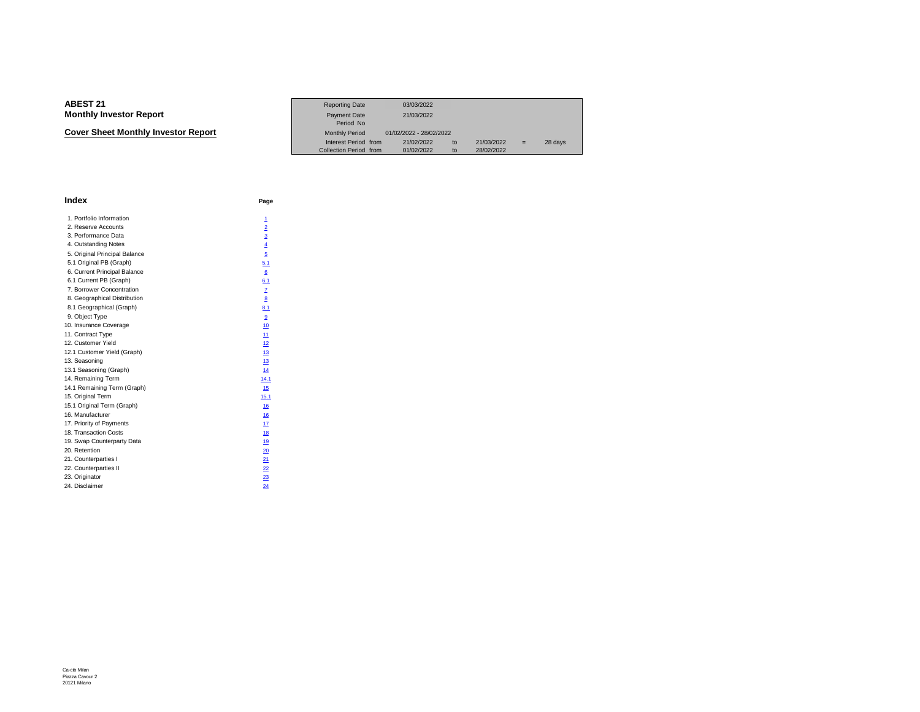**Cover Sheet Monthly Investor Report**

|                             | <b>Reporting Date</b>  | 03/03/2022              |                             |     |         |
|-----------------------------|------------------------|-------------------------|-----------------------------|-----|---------|
| Investor Report             | <b>Payment Date</b>    | 21/03/2022              |                             |     |         |
|                             | Period No              |                         |                             |     |         |
| eet Monthlv Investor Report | <b>Monthly Period</b>  | 01/02/2022 - 28/02/2022 |                             |     |         |
|                             | Interest Period from   | 21/02/2022              | 21/03/2022<br>$\mathsf{to}$ | $=$ | 28 days |
|                             | Collection Period from | 01/02/2022              | 28/02/2022<br>tο            |     |         |

| <b>Index</b>                  | Page           |
|-------------------------------|----------------|
| 1. Portfolio Information      | 1              |
| 2. Reserve Accounts           | $\overline{2}$ |
| 3. Performance Data           | $\overline{3}$ |
| 4. Outstanding Notes          | $\overline{4}$ |
| 5. Original Principal Balance | 5              |
| 5.1 Original PB (Graph)       | 5.1            |
| 6. Current Principal Balance  | 6              |
| 6.1 Current PB (Graph)        | 6.1            |
| 7. Borrower Concentration     | Z              |
| 8. Geographical Distribution  | 8              |
| 8.1 Geographical (Graph)      | 8.1            |
| 9. Object Type                | 9              |
| 10. Insurance Coverage        | 10             |
| 11. Contract Type             | 11             |
| 12. Customer Yield            | 12             |
| 12.1 Customer Yield (Graph)   | 13             |
| 13. Seasoning                 | 13             |
| 13.1 Seasoning (Graph)        | 14             |
| 14. Remaining Term            | 14.1           |
| 14.1 Remaining Term (Graph)   | 15             |
| 15. Original Term             | 15.1           |
| 15.1 Original Term (Graph)    | 16             |
| 16. Manufacturer              | 16             |
| 17. Priority of Payments      | 17             |
| 18. Transaction Costs         | 18             |
| 19. Swap Counterparty Data    | 19             |
| 20. Retention                 | 20             |
| 21. Counterparties I          | 21             |
| 22. Counterparties II         | 22             |
| 23. Originator                | 23             |
| 24. Disclaimer                | 24             |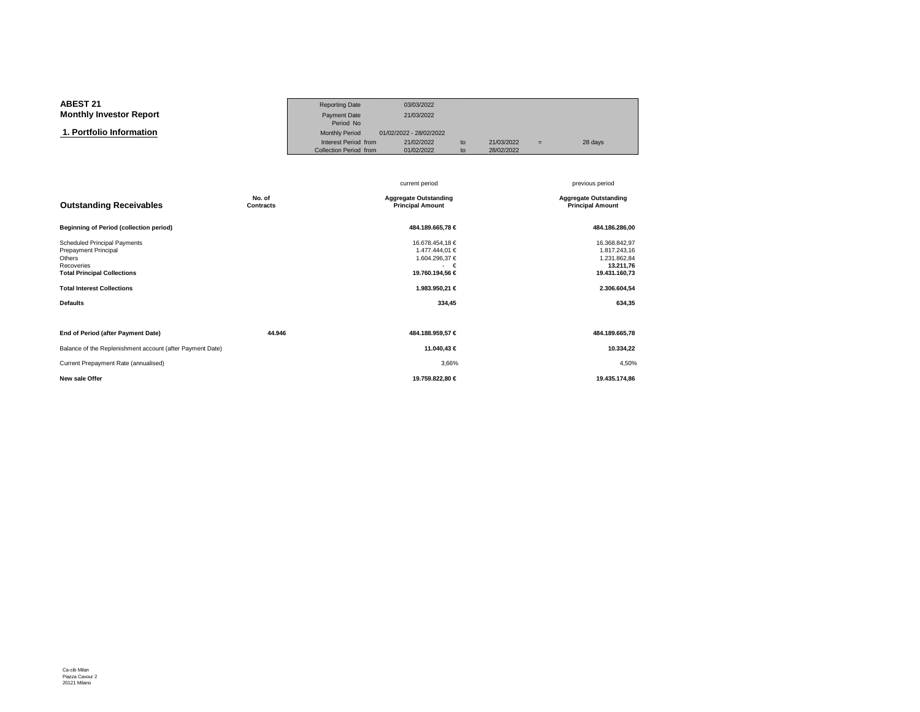#### **ABEST 21**Reporting Date 03/03/2022<br>Payment Date 21/03/2022 **Monthly Investor Report**Payment Date Period No $\overline{\mathbf{n}}$  Monthly Period 01/02/2022 - 28/02/2022  **1. Portfolio Information**Interest Period from 21/02/2022 to 21/03/2022 = 28 days<br>Collection Period from 01/02/2022 to 28/02/2022 Collection Period from

|                                                                                                                                                                                   |                     | current period                                                                                               | previous period                                                                                       |
|-----------------------------------------------------------------------------------------------------------------------------------------------------------------------------------|---------------------|--------------------------------------------------------------------------------------------------------------|-------------------------------------------------------------------------------------------------------|
| <b>Outstanding Receivables</b>                                                                                                                                                    | No. of<br>Contracts | <b>Aggregate Outstanding</b><br><b>Principal Amount</b>                                                      | <b>Aggregate Outstanding</b><br><b>Principal Amount</b>                                               |
| <b>Beginning of Period (collection period)</b>                                                                                                                                    |                     | 484.189.665,78 €                                                                                             | 484.186.286,00                                                                                        |
| <b>Scheduled Principal Payments</b><br>Prepayment Principal<br>Others<br>Recoveries<br><b>Total Principal Collections</b><br><b>Total Interest Collections</b><br><b>Defaults</b> |                     | 16.678.454,18 €<br>1.477.444,01 €<br>1.604.296,37 €<br>$ \in$<br>19.760.194,56 €<br>1.983.950,21 €<br>334,45 | 16.368.842,97<br>1.817.243,16<br>1.231.862,84<br>13.211,76<br>19.431.160,73<br>2.306.604,54<br>634,35 |
| End of Period (after Payment Date)                                                                                                                                                | 44.946              | 484.188.959,57 €                                                                                             | 484.189.665,78                                                                                        |
| Balance of the Replenishment account (after Payment Date)                                                                                                                         |                     | 11.040,43 €                                                                                                  | 10.334,22                                                                                             |
| Current Prepayment Rate (annualised)                                                                                                                                              |                     | 3,66%                                                                                                        | 4,50%                                                                                                 |
| New sale Offer                                                                                                                                                                    |                     | 19.759.822,80 €                                                                                              | 19.435.174,86                                                                                         |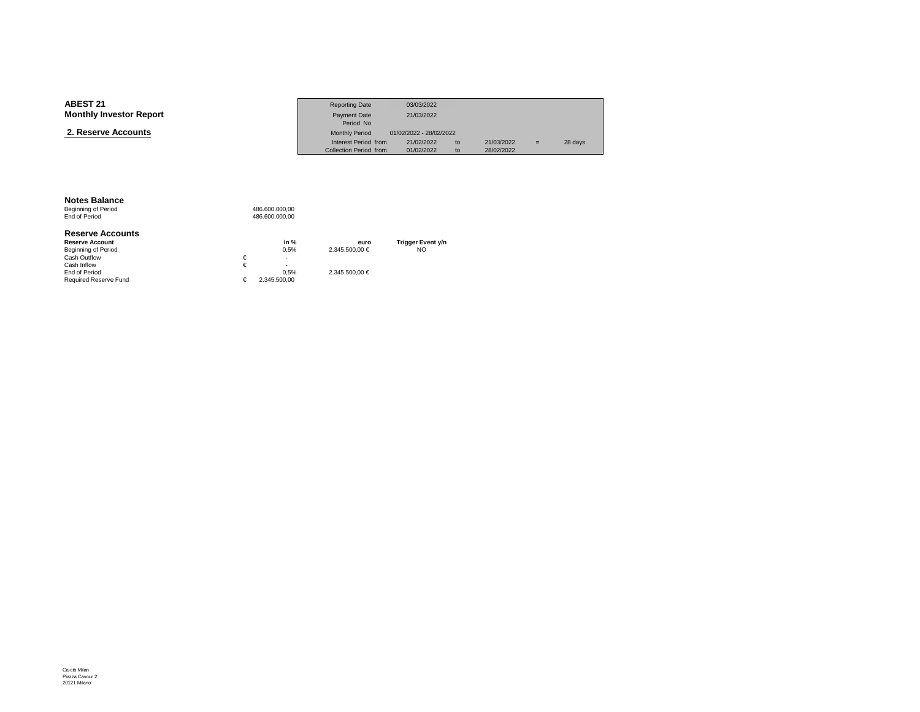| <b>ABEST 21</b>                | <b>Reporting Date</b>  | 03/03/2022              |    |            |     |         |
|--------------------------------|------------------------|-------------------------|----|------------|-----|---------|
| <b>Monthly Investor Report</b> | Payment Date           | 21/03/2022              |    |            |     |         |
|                                | Period No              |                         |    |            |     |         |
| 2. Reserve Accounts            | <b>Monthly Period</b>  | 01/02/2022 - 28/02/2022 |    |            |     |         |
|                                | Interest Period from   | 21/02/2022              | to | 21/03/2022 | $=$ | 28 days |
|                                | Collection Period from | 01/02/2022              | to | 28/02/2022 |     |         |

#### **Notes Balance**

Beginning of Period<br>End of Period 486.600.000,00 486.600.000,00

#### **Reserve Accounts**

| <b>Reserve Account</b>       | in $%$       | euro           | <b>Trigger Event y/n</b> |
|------------------------------|--------------|----------------|--------------------------|
| Beginning of Period          | 0.5%         | 2.345.500.00 € | NO                       |
| Cash Outflow                 | ۰            |                |                          |
| Cash Inflow                  | ۰            |                |                          |
| End of Period                | 0.5%         | 2.345.500.00 € |                          |
| <b>Required Reserve Fund</b> | 2.345.500.00 |                |                          |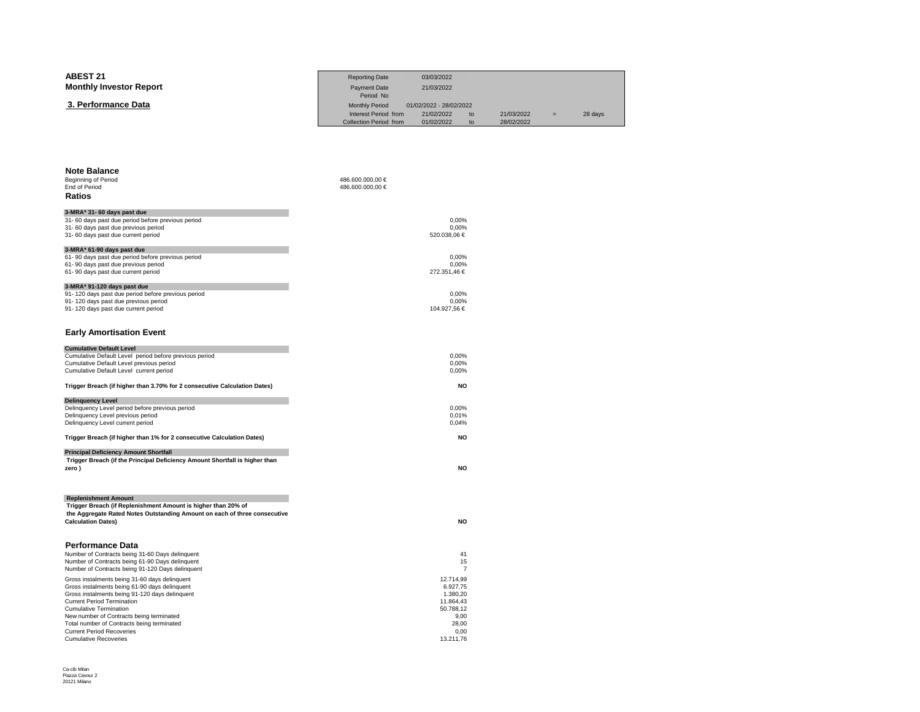| <b>ABEST 21</b>                                                                                                                            | <b>Reporting Date</b>              | 03/03/2022                   |            |         |
|--------------------------------------------------------------------------------------------------------------------------------------------|------------------------------------|------------------------------|------------|---------|
| <b>Monthly Investor Report</b>                                                                                                             | <b>Payment Date</b>                | 21/03/2022                   |            |         |
| 3. Performance Data                                                                                                                        | Period No<br><b>Monthly Period</b> | 01/02/2022 - 28/02/2022      |            |         |
|                                                                                                                                            | Interest Period from               | 21/02/2022<br>t <sub>o</sub> | 21/03/2022 | 28 days |
|                                                                                                                                            | Collection Period from             | 01/02/2022<br>to             | 28/02/2022 |         |
|                                                                                                                                            |                                    |                              |            |         |
|                                                                                                                                            |                                    |                              |            |         |
| <b>Note Balance</b>                                                                                                                        |                                    |                              |            |         |
| Beginning of Period                                                                                                                        | 486.600.000,00 €                   |                              |            |         |
| End of Period<br>Ratios                                                                                                                    | 486.600.000,00 €                   |                              |            |         |
|                                                                                                                                            |                                    |                              |            |         |
| 3-MRA* 31- 60 days past due<br>31- 60 days past due period before previous period                                                          |                                    | 0,00%                        |            |         |
| 31- 60 days past due previous period                                                                                                       |                                    | 0,00%                        |            |         |
| 31-60 days past due current period                                                                                                         |                                    | 520.038,06 €                 |            |         |
| 3-MRA* 61-90 days past due                                                                                                                 |                                    | 0.00%                        |            |         |
| 61-90 days past due period before previous period<br>61-90 days past due previous period                                                   |                                    | 0,00%                        |            |         |
| 61-90 days past due current period                                                                                                         |                                    | 272.351,46 €                 |            |         |
| 3-MRA* 91-120 days past due                                                                                                                |                                    |                              |            |         |
| 91-120 days past due period before previous period<br>91-120 days past due previous period                                                 |                                    | 0,00%<br>0,00%               |            |         |
| 91-120 days past due current period                                                                                                        |                                    | 104.927,56 €                 |            |         |
|                                                                                                                                            |                                    |                              |            |         |
| <b>Early Amortisation Event</b>                                                                                                            |                                    |                              |            |         |
| <b>Cumulative Default Level</b>                                                                                                            |                                    |                              |            |         |
| Cumulative Default Level period before previous period<br>Cumulative Default Level previous period                                         |                                    | 0,00%<br>0,00%               |            |         |
| Cumulative Default Level current period                                                                                                    |                                    | 0,00%                        |            |         |
| Trigger Breach (if higher than 3.70% for 2 consecutive Calculation Dates)                                                                  |                                    | <b>NO</b>                    |            |         |
| <b>Delinquency Level</b>                                                                                                                   |                                    |                              |            |         |
| Delinquency Level period before previous period<br>Delinquency Level previous period                                                       |                                    | 0,00%<br>0,01%               |            |         |
| Delinquency Level current period                                                                                                           |                                    | 0,04%                        |            |         |
| Trigger Breach (if higher than 1% for 2 consecutive Calculation Dates)                                                                     |                                    | <b>NO</b>                    |            |         |
| <b>Principal Deficiency Amount Shortfall</b>                                                                                               |                                    |                              |            |         |
| Trigger Breach (if the Principal Deficiency Amount Shortfall is higher than                                                                |                                    |                              |            |         |
| zero)                                                                                                                                      |                                    | <b>NO</b>                    |            |         |
|                                                                                                                                            |                                    |                              |            |         |
| <b>Replenishment Amount</b>                                                                                                                |                                    |                              |            |         |
| Trigger Breach (if Replenishment Amount is higher than 20% of<br>the Aggregate Rated Notes Outstanding Amount on each of three consecutive |                                    |                              |            |         |
| <b>Calculation Dates)</b>                                                                                                                  |                                    | <b>NO</b>                    |            |         |
|                                                                                                                                            |                                    |                              |            |         |
| <b>Performance Data</b><br>Number of Contracts being 31-60 Days delinquent                                                                 |                                    | 41                           |            |         |
| Number of Contracts being 61-90 Days delinquent                                                                                            |                                    | 15                           |            |         |
| Number of Contracts being 91-120 Days delinquent                                                                                           |                                    | $\overline{7}$               |            |         |
| Gross instalments being 31-60 days delinquent<br>Gross instalments being 61-90 days delinquent                                             |                                    | 12.714,99<br>6.927,75        |            |         |
| Gross instalments being 91-120 days delinquent                                                                                             |                                    | 1.380,20                     |            |         |
| <b>Current Period Termination</b><br><b>Cumulative Termination</b>                                                                         |                                    | 11.864,43<br>50.788,12       |            |         |
| New number of Contracts being terminated                                                                                                   |                                    | 9,00                         |            |         |
| Total number of Contracts being terminated<br><b>Current Period Recoveries</b>                                                             |                                    | 28,00<br>0,00                |            |         |
| <b>Cumulative Recoveries</b>                                                                                                               |                                    | 13.211.76                    |            |         |

s and the contract of the contract of the contract of the contract of the contract of the contract of the contract of the contract of the contract of the contract of the contract of the contract of the contract of the con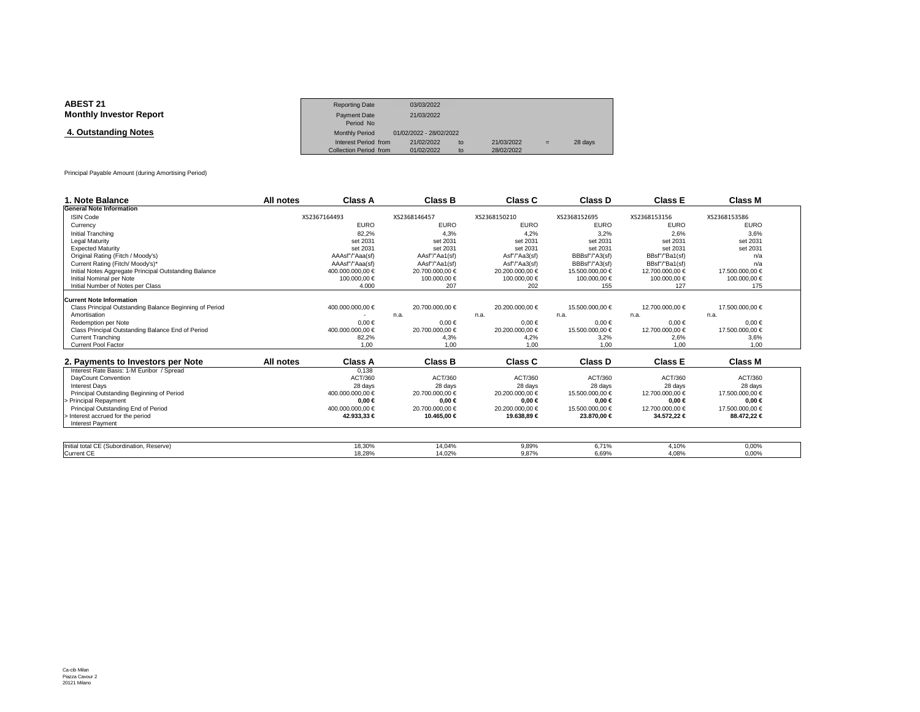| <b>ABEST 21</b>                | <b>Reporting Date</b>  | 03/03/2022              |    |            |     |         |
|--------------------------------|------------------------|-------------------------|----|------------|-----|---------|
| <b>Monthly Investor Report</b> | <b>Payment Date</b>    | 21/03/2022              |    |            |     |         |
|                                | Period No              |                         |    |            |     |         |
| 4. Outstanding Notes           | <b>Monthly Period</b>  | 01/02/2022 - 28/02/2022 |    |            |     |         |
|                                | Interest Period from   | 21/02/2022              | to | 21/03/2022 | $=$ | 28 days |
|                                | Collection Period from | 01/02/2022              | to | 28/02/2022 |     |         |

Principal Payable Amount (during Amortising Period)

| 1. Note Balance                                         | All notes | Class A          | <b>Class B</b>  | Class C         | Class D         | <b>Class E</b>  | <b>Class M</b>  |
|---------------------------------------------------------|-----------|------------------|-----------------|-----------------|-----------------|-----------------|-----------------|
| <b>General Note Information</b>                         |           |                  |                 |                 |                 |                 |                 |
| <b>ISIN Code</b>                                        |           | XS2367164493     | XS2368146457    | XS2368150210    | XS2368152695    | XS2368153156    | XS2368153586    |
| Currency                                                |           | <b>EURO</b>      | <b>EURO</b>     | <b>EURO</b>     | <b>EURO</b>     | <b>EURO</b>     | <b>EURO</b>     |
| Initial Tranching                                       |           | 82.2%            | 4.3%            | 4.2%            | 3.2%            | 2.6%            | 3.6%            |
| <b>Legal Maturity</b>                                   |           | set 2031         | set 2031        | set 2031        | set 2031        | set 2031        | set 2031        |
| <b>Expected Maturity</b>                                |           | set 2031         | set 2031        | set 2031        | set 2031        | set 2031        | set 2031        |
| Original Rating (Fitch / Moody's)                       |           | AAAsf"/"Aaa(sf)  | AAsf"/"Aa1(sf)  | Asf"/"Aa3(sf)   | BBBsf"/"A3(sf)  | BBsf"/"Ba1(sf)  | n/a             |
| Current Rating (Fitch/ Moody's)*                        |           | AAAsf"/"Aaa(sf)  | AAsf"/"Aa1(sf)  | Asf"/"Aa3(sf)   | BBBsf"/"A3(sf)  | BBsf"/"Ba1(sf)  | n/a             |
| Initial Notes Aggregate Principal Outstanding Balance   |           | 400.000.000.00 € | 20.700.000.00 € | 20,200,000,00 € | 15.500.000.00 € | 12.700.000.00 € | 17.500.000,00 € |
| Initial Nominal per Note                                |           | 100.000.00 €     | 100.000.00 €    | 100.000.00 €    | 100.000,00 €    | 100000,00 €     | 100.000,00 €    |
| Initial Number of Notes per Class                       |           | 4.000            | 207             | 202             | 155             | 127             | 175             |
| <b>Current Note Information</b>                         |           |                  |                 |                 |                 |                 |                 |
| Class Principal Outstanding Balance Beginning of Period |           | 400.000.000,00 € | 20.700.000.00 € | 20.200.000.00 € | 15.500.000.00 € | 12.700.000.00 € | 17.500.000.00 € |
| Amortisation                                            |           |                  | n.a.            | n.a.            | n.a.            | n.a.            | n.a.            |
| Redemption per Note                                     |           | $0.00 \in$       | $0.00 \in$      | $0.00 \in$      | $0.00 \in$      | $0.00 \in$      | $0.00 \in$      |
| Class Principal Outstanding Balance End of Period       |           | 400.000.000,00 € | 20.700.000,00 € | 20.200.000,00 € | 15.500.000,00 € | 12.700.000,00 € | 17.500.000,00 € |
| <b>Current Tranching</b>                                |           | 82,2%            | 4,3%            | 4,2%            | 3,2%            | 2,6%            | 3,6%            |
| <b>Current Pool Factor</b>                              |           | 1.00             | 1.00            | 1.00            | 1.00            | 1.00            | 1.00            |
|                                                         |           |                  |                 |                 |                 |                 |                 |
| 2. Payments to Investors per Note                       | All notes | <b>Class A</b>   | <b>Class B</b>  | Class C         | Class D         | <b>Class E</b>  | Class M         |
| Interest Rate Basis: 1-M Euribor / Spread               |           | 0.138            |                 |                 |                 |                 |                 |
| DavCount Convention                                     |           | ACT/360          | ACT/360         | ACT/360         | ACT/360         | ACT/360         | ACT/360         |
| <b>Interest Davs</b>                                    |           | 28 days          | 28 days         | 28 days         | 28 days         | 28 days         | 28 days         |
| Principal Outstanding Beginning of Period               |           | 400.000.000.00 € | 20.700.000,00 € | 20.200.000.00 € | 15.500.000.00 € | 12.700.000.00 € | 17.500.000.00 € |
| Principal Repayment                                     |           | $0.00 \in$       | $0.00 \in$      | $0.00 \in$      | $0.00 \in$      | $0.00 \in$      | $0.00 \in$      |
| Principal Outstanding End of Period                     |           | 400.000.000.00 € | 20.700.000.00 € | 20.200.000.00 € | 15.500.000.00 € | 12.700.000.00 € | 17.500.000.00 € |
| - Interest accrued for the period                       |           | 42.933,33 €      | 10.465,00 €     | 19.638,89 €     | 23.870,00 €     | 34.5722€        | 88.472,22 €     |
| <b>Interest Payment</b>                                 |           |                  |                 |                 |                 |                 |                 |
|                                                         |           |                  |                 |                 |                 |                 |                 |
| Initial total CE (Subordination, Reserve)               |           | 18.30%           | 14.04%          | 9.89%           | 6.71%           | 4.10%           | 0.00%           |
| <b>Current CE</b>                                       |           | 18.28%           | 14.02%          | 9.87%           | 6.69%           | 4.08%           | 0.00%           |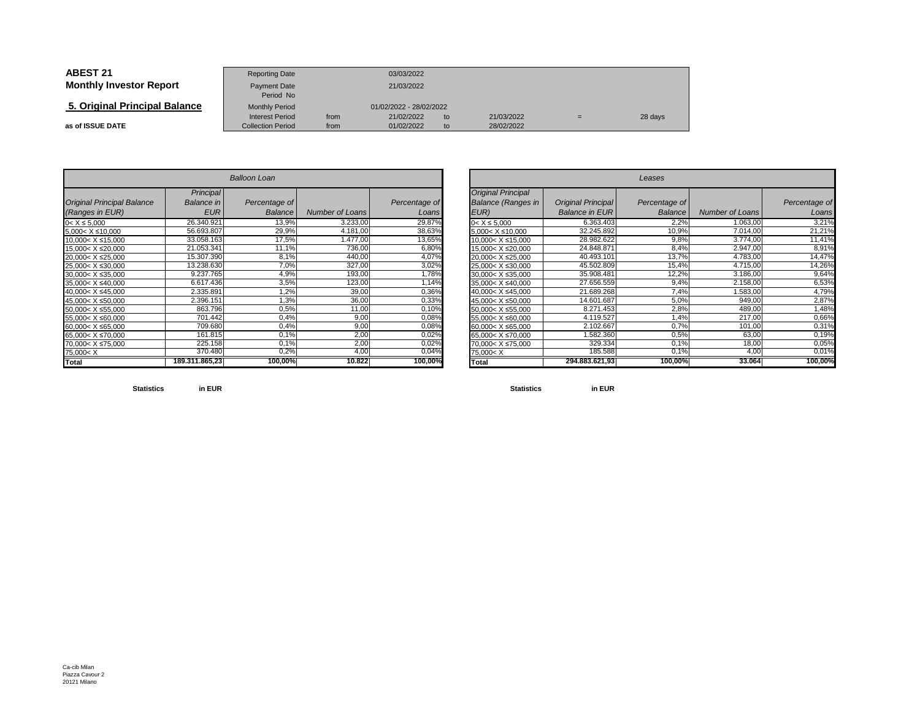| <b>ABEST 21</b>                | <b>Reporting Date</b>                              |              | 03/03/2022               |          |                          |   |         |
|--------------------------------|----------------------------------------------------|--------------|--------------------------|----------|--------------------------|---|---------|
| <b>Monthly Investor Report</b> | Payment Date<br>Period No                          | 21/03/2022   |                          |          |                          |   |         |
| 5. Original Principal Balance  | <b>Monthly Period</b>                              |              | 01/02/2022 - 28/02/2022  |          |                          |   |         |
| as of ISSUE DATE               | <b>Interest Period</b><br><b>Collection Period</b> | from<br>from | 21/02/2022<br>01/02/2022 | to<br>to | 21/03/2022<br>28/02/2022 | = | 28 days |

|                                                                                | <b>Balloon Loan</b>     |               |                        |               |  |  |  |  |  |  |  |
|--------------------------------------------------------------------------------|-------------------------|---------------|------------------------|---------------|--|--|--|--|--|--|--|
| <b>Original Principal Balance</b>                                              | Principal<br>Balance in | Percentage of |                        | Percentage of |  |  |  |  |  |  |  |
| (Ranges in EUR)                                                                | <b>EUR</b>              | Balance       | <b>Number of Loans</b> | Loans         |  |  |  |  |  |  |  |
| $0 < X \le 5,000$                                                              | 26.340.921              | 13,9%         | 3.233,00               | 29,87%        |  |  |  |  |  |  |  |
| $5.000 < X \le 10.000$                                                         | 56.693.807              | 29,9%         | 4.181,00               | 38,63%        |  |  |  |  |  |  |  |
| 10,000< X ≤15,000                                                              | 33.058.163              | 17,5%         | 1.477,00               | 13,65%        |  |  |  |  |  |  |  |
| 15,000< X ≤20,000                                                              | 21.053.341              | 11,1%         | 736,00                 | 6,80%         |  |  |  |  |  |  |  |
| 20,000< X ≤25,000                                                              | 15.307.390              | 8,1%          | 440,00                 | 4,07%         |  |  |  |  |  |  |  |
| 25.000< X ≤30.000                                                              | 13.238.630              | 7,0%          | 327,00                 | 3,02%         |  |  |  |  |  |  |  |
| 30.000< X ≤35.000                                                              | 9.237.765               | 4,9%          | 193,00                 | 1,78%         |  |  |  |  |  |  |  |
| 35,000< X ≤40,000                                                              | 6.617.436               | 3,5%          | 123,00                 | 1,14%         |  |  |  |  |  |  |  |
| 40.000< X ≤45.000                                                              | 2.335.891               | 1,2%          | 39,00                  | 0,36%         |  |  |  |  |  |  |  |
| 45,000< X ≤50,000                                                              | 2.396.151               | 1,3%          | 36,00                  | 0,33%         |  |  |  |  |  |  |  |
| 50,000< X ≤55,000                                                              | 863.796                 | 0,5%          | 11,00                  | 0,10%         |  |  |  |  |  |  |  |
| 55,000< X ≤60,000                                                              | 701.442                 | 0.4%          | 9,00                   | 0,08%         |  |  |  |  |  |  |  |
| 60,000< X ≤65,000                                                              | 709.680                 | 0,4%          | 9,00                   | 0,08%         |  |  |  |  |  |  |  |
| 65,000< X ≤70,000                                                              | 161.815                 | 0,1%          | 2,00                   | 0,02%         |  |  |  |  |  |  |  |
| 70.000< X ≤75.000                                                              | 225.158                 | 0.1%          | 2,00                   | 0,02%         |  |  |  |  |  |  |  |
| 75,000 <x< td=""><td>370.480</td><td>0,2%</td><td>4,00</td><td>0,04%</td></x<> | 370.480                 | 0,2%          | 4,00                   | 0,04%         |  |  |  |  |  |  |  |
| Total                                                                          | 189.311.865,23          | 100,00%       | 10.822                 | 100,00%       |  |  |  |  |  |  |  |

|                          |                | <b>Balloon Loan</b> |                 |               | Leases                                                                        |                       |                |                 |               |
|--------------------------|----------------|---------------------|-----------------|---------------|-------------------------------------------------------------------------------|-----------------------|----------------|-----------------|---------------|
|                          | Principal      |                     |                 |               | <b>Original Principal</b>                                                     |                       |                |                 |               |
| <b>Principal Balance</b> | Balance in     | Percentage of       |                 | Percentage of | <b>Balance (Ranges in</b>                                                     | Original Principal    | Percentage of  |                 | Percentage of |
| s in EUR)                | <b>EUR</b>     | <b>Balance</b>      | Number of Loans | Loans         | EUR)                                                                          | <b>Balance in EUR</b> | <b>Balance</b> | Number of Loans | Loans         |
| 000                      | 26.340.921     | 13,9%               | 3.233,00        | 29,87%        | $0 < X \le 5.000$                                                             | 6.363.403             | 2,2%           | 1.063,00        | 3,21%         |
| ≤10,000                  | 56.693.807     | 29,9%               | 4.181,00        | 38,63%        | $5,000 < X \leq 10,000$                                                       | 32.245.892            | 10,9%          | 7.014,00        | 21,21%        |
| X ≤15,000                | 33.058.163     | 17,5%               | 1.477,00        | 13,65%        | $10,000 < X \le 15,000$                                                       | 28.982.622            | 9,8%           | 3.774,00        | 11,41%        |
| X ≤20,000                | 21.053.341     | 11,1%               | 736,00          | 6,80%         | 15,000< X ≤20,000                                                             | 24.848.871            | 8,4%           | 2.947,00        | 8,91%         |
| X ≤25,000                | 15.307.390     | 8,1%                | 440,00          | 4,07%         | 20,000< X ≤25,000                                                             | 40.493.101            | 13,7%          | 4.783,00        | 14,47%        |
| $X \le 30,000$           | 13.238.630     | 7,0%                | 327,00          | 3,02%         | 25,000< X ≤30,000                                                             | 45.502.809            | 15,4%          | 4.715,00        | 14,26%        |
| X ≤35,000                | 9.237.765      | 4,9%                | 193,00          | 1,78%         | $30,000 < X \leq 35,000$                                                      | 35.908.481            | 12,2%          | 3.186,00        | 9,64%         |
| $X \le 40,000$           | 6.617.436      | 3,5%                | 123,00          | 1,14%         | 35,000< X ≤40,000                                                             | 27.656.559            | 9,4%           | 2.158,00        | 6,53%         |
| X ≤45,000                | 2.335.891      | $1,2\%$             | 39,00           | 0,36%         | 40,000< X ≤45,000                                                             | 21.689.268            | 7,4%           | 1.583,00        | 4,79%         |
| $X \le 50,000$           | 2.396.151      | 1,3%                | 36,00           | 0,33%         | 45,000< X ≤50,000                                                             | 14.601.687            | 5,0%           | 949,00          | 2,87%         |
| X ≤55,000                | 863.796        | 0,5%                | 11,00           | 0,10%         | $50,000 < X \le 55,000$                                                       | 8.271.453             | 2,8%           | 489,00          | 1,48%         |
| $X \le 60,000$           | 701.442        | 0,4%                | 9,00            | 0,08%         | 55,000< X ≤60,000                                                             | 4.119.527             | 1,4%           | 217,00          | 0,66%         |
| X ≤65,000                | 709.680        | 0,4%                | 9,00            | 0,08%         | 60,000< X ≤65,000                                                             | 2.102.667             | 0.7%           | 101,00          | 0,31%         |
| X ≤70,000                | 161.815        | 0,1%                | 2,00            | 0,02%         | 65,000< X ≤70,000                                                             | 1.582.360             | 0,5%           | 63,00           | 0,19%         |
| X ≤75,000                | 225.158        | 0.1%                | 2,00            | 0,02%         | 70,000< X ≤75,000                                                             | 329.334               | 0,1%           | 18,00           | 0,05%         |
|                          | 370.480        | 0,2%                | 4.00            | 0,04%         | 75,000 <x< td=""><td>185.588</td><td>0,1%</td><td>4,0</td><td>0,01%</td></x<> | 185.588               | 0,1%           | 4,0             | 0,01%         |
|                          | 189.311.865,23 | 100,00%             | 10.822          | 100,00%       | <b>Total</b>                                                                  | 294.883.621.93        | 100,00%        | 33.064          | 100,00%       |

**Statisticsin EUR**

**Statistics in EUR**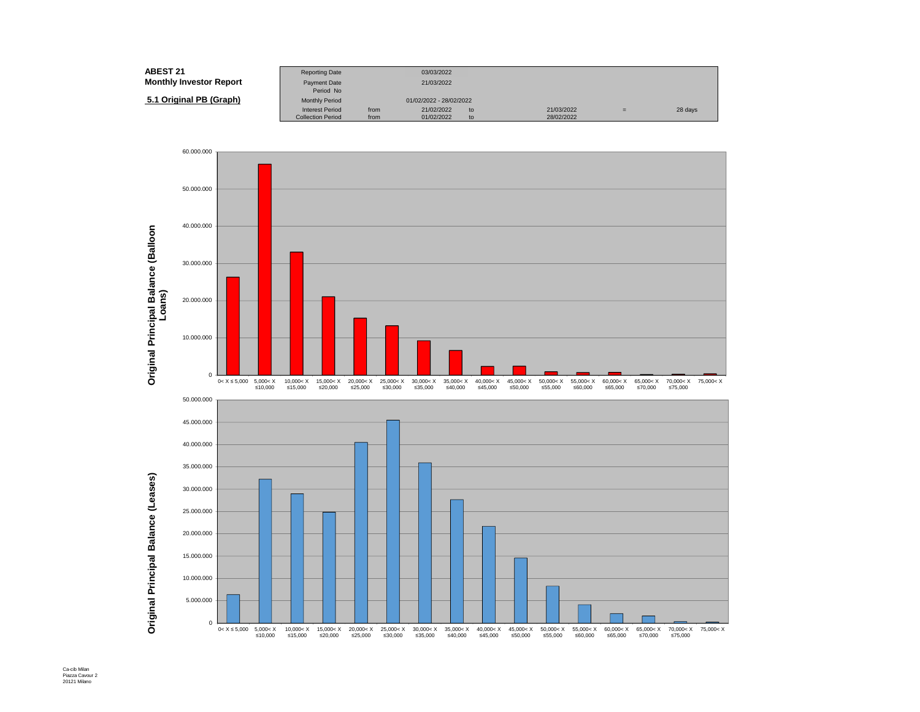| ABEST 21                       | <b>Reporting Date</b>     |      | 03/03/2022              |    |            |     |         |
|--------------------------------|---------------------------|------|-------------------------|----|------------|-----|---------|
| <b>Monthly Investor Report</b> | Payment Date<br>Period No |      | 21/03/2022              |    |            |     |         |
| 5.1 Original PB (Graph)        | <b>Monthly Period</b>     |      | 01/02/2022 - 28/02/2022 |    |            |     |         |
|                                | <b>Interest Period</b>    | from | 21/02/2022              | to | 21/03/2022 | $=$ | 28 days |
|                                | <b>Collection Period</b>  | from | 01/02/2022              | to | 28/02/2022 |     |         |



Ca-cib Milan Piazza Cavour 2 20121 Milano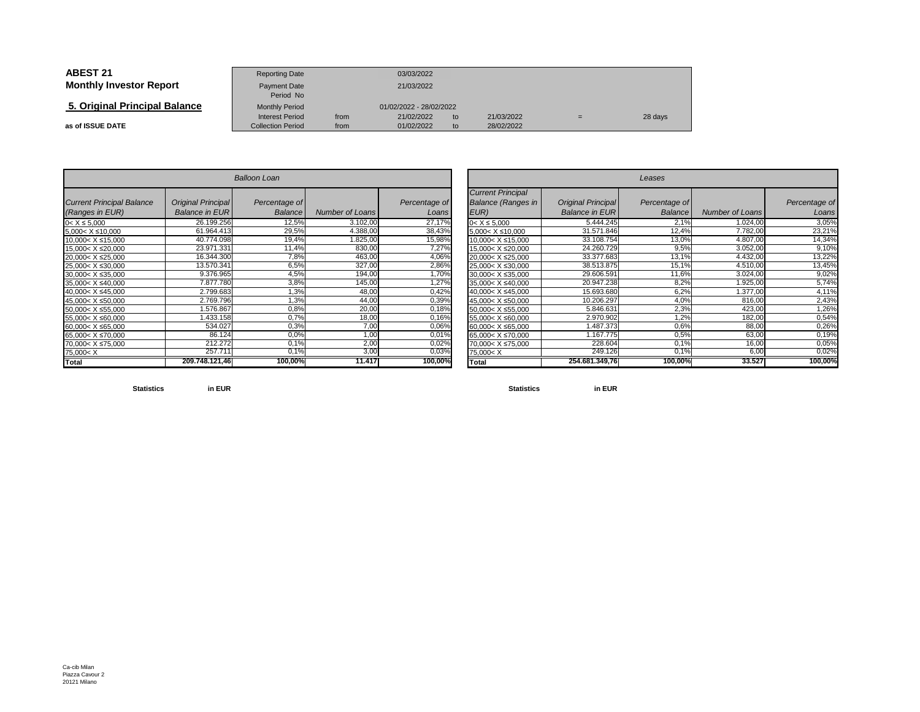| <b>ABEST 21</b>                | <b>Reporting Date</b>                              |              | 03/03/2022               |          |                          |     |         |
|--------------------------------|----------------------------------------------------|--------------|--------------------------|----------|--------------------------|-----|---------|
| <b>Monthly Investor Report</b> | Payment Date<br>Period No                          |              | 21/03/2022               |          |                          |     |         |
| 5. Original Principal Balance  | <b>Monthly Period</b>                              |              | 01/02/2022 - 28/02/2022  |          |                          |     |         |
| as of ISSUE DATE               | <b>Interest Period</b><br><b>Collection Period</b> | from<br>from | 21/02/2022<br>01/02/2022 | to<br>to | 21/03/2022<br>28/02/2022 | $=$ | 28 days |

| <b>Balloon Loan</b>                                                                          |                                                    |                          |                        |                        |  |  |  |  |  |  |
|----------------------------------------------------------------------------------------------|----------------------------------------------------|--------------------------|------------------------|------------------------|--|--|--|--|--|--|
| <b>Current Principal Balance</b><br>(Ranges in EUR)                                          | <b>Original Principal</b><br><b>Balance in EUR</b> | Percentage of<br>Balance | <b>Number of Loans</b> | Percentage of<br>Loans |  |  |  |  |  |  |
| $0 < X \le 5,000$                                                                            | 26.199.256                                         | 12,5%                    | 3.102,00               | 27,17%                 |  |  |  |  |  |  |
| 5,000< X ≤10,000                                                                             | 61.964.413                                         | 29,5%                    | 4.388,00               | 38,43%                 |  |  |  |  |  |  |
| 10,000< X ≤15,000                                                                            | 40.774.098                                         | 19,4%                    | 1.825,00               | 15,98%                 |  |  |  |  |  |  |
| 15,000< X ≤20,000                                                                            | 23.971.331                                         | 11,4%                    | 830,00                 | 7,27%                  |  |  |  |  |  |  |
| 20,000< X ≤25,000                                                                            | 16.344.300                                         | 7,8%                     | 463,00                 | 4,06%                  |  |  |  |  |  |  |
| 25,000< X ≤30,000                                                                            | 13.570.341                                         | 6,5%                     | 327,00                 | 2,86%                  |  |  |  |  |  |  |
| 30,000< X ≤35,000                                                                            | 9.376.965                                          | 4,5%                     | 194,00                 | 1,70%                  |  |  |  |  |  |  |
| 35,000< X ≤40,000                                                                            | 7.877.780                                          | 3,8%                     | 145,00                 | 1,27%                  |  |  |  |  |  |  |
| 40,000< X ≤45,000                                                                            | 2.799.683                                          | 1,3%                     | 48,00                  | 0,42%                  |  |  |  |  |  |  |
| 45,000< X ≤50,000                                                                            | 2.769.796                                          | 1,3%                     | 44,00                  | 0,39%                  |  |  |  |  |  |  |
| 50,000< X ≤55,000                                                                            | 1.576.867                                          | 0,8%                     | 20,00                  | 0,18%                  |  |  |  |  |  |  |
| 55,000< X ≤60,000                                                                            | 1.433.158                                          | 0.7%                     | 18,00                  | 0,16%                  |  |  |  |  |  |  |
| 60,000< X ≤65,000                                                                            | 534.027                                            | 0,3%                     | 7,00                   | 0,06%                  |  |  |  |  |  |  |
| 65,000< X ≤70,000                                                                            | 86.124                                             | 0.0%                     | 1,00                   | 0,01%                  |  |  |  |  |  |  |
| 70,000< X ≤75,000                                                                            | 212.272                                            | 0.1%                     | 2,00                   | 0,02%                  |  |  |  |  |  |  |
| 75,000 <x< td=""><td>257.711</td><td><math>0.1\%</math></td><td>3,00</td><td>0,03%</td></x<> | 257.711                                            | $0.1\%$                  | 3,00                   | 0,03%                  |  |  |  |  |  |  |
| <b>Total</b>                                                                                 | 209.748.121.46                                     | 100,00%                  | 11.417                 | 100,00%                |  |  |  |  |  |  |

|                          | <b>Balloon Loan</b>       |               |                        |               |                                                                                | Leases                    |               |                        |               |  |  |
|--------------------------|---------------------------|---------------|------------------------|---------------|--------------------------------------------------------------------------------|---------------------------|---------------|------------------------|---------------|--|--|
| <b>Principal Balance</b> | <b>Original Principal</b> | Percentage of |                        | Percentage of | <b>Current Principal</b><br><b>Balance (Ranges in</b>                          | <b>Original Principal</b> | Percentage of |                        | Percentage of |  |  |
| s in EUR)                | <b>Balance in EURI</b>    | Balance       | <b>Number of Loans</b> | Loans         | EUR)                                                                           | <b>Balance in EUR</b>     | Balance       | <b>Number of Loans</b> | Loans         |  |  |
| 000                      | 26.199.256                | 12,5%         | 3.102,00               | 27,17%        | $0 < X \le 5.000$                                                              | 5.444.245                 | 2.1%          | 1.024,00               | 3,05%         |  |  |
| ≤10,000                  | 61.964.413                | 29,5%         | 4.388,00               | 38,43%        | $5,000 < X \le 10,000$                                                         | 31.571.846                | 12,4%         | 7.782,00               | 23,21%        |  |  |
| X ≤15,000                | 40.774.098                | 19,4%         | 1.825,00               | 15,98%        | 10.000< X ≤15.000                                                              | 33.108.754                | 13,0%         | 4.807,00               | 14,34%        |  |  |
| X ≤20,000                | 23.971.331                | 11,4%         | 830,00                 | 7,27%         | 15,000< X ≤20,000                                                              | 24.260.729                | 9,5%          | 3.052,00               | 9,10%         |  |  |
| X ≤25,000                | 16.344.300                | 7,8%          | 463,00                 | 4,06%         | 20,000< X ≤25,000                                                              | 33.377.683                | 13,1%         | 4.432,00               | 13,22%        |  |  |
| $X \le 30,000$           | 13.570.341                | 6,5%          | 327,00                 | 2,86%         | 25,000< X ≤30,000                                                              | 38.513.875                | 15,1%         | 4.510,00               | 13,45%        |  |  |
| X ≤35,000                | 9.376.965                 | 4,5%          | 194,00                 | 1,70%         | 30,000< X ≤35,000                                                              | 29.606.591                | 11,6%         | 3.024,00               | 9,02%         |  |  |
| $X \le 40,000$           | 7.877.780                 | 3,8%          | 145,00                 | 1,27%         | 35,000< X ≤40,000                                                              | 20.947.238                | 8,2%          | 1.925,00               | 5,74%         |  |  |
| X ≤45,000                | 2.799.683                 | 1,3%          | 48,00                  | 0,42%         | 40,000< X ≤45,000                                                              | 15.693.680                | 6,2%          | 1.377,00               | 4,11%         |  |  |
| X ≤50,000                | 2.769.796                 | 1,3%          | 44,00                  | 0,39%         | 45,000< X ≤50,000                                                              | 10.206.297                | 4,0%          | 816,00                 | 2,43%         |  |  |
| X ≤55,000                | 1.576.867                 | 0,8%          | 20,00                  | 0,18%         | 50.000< X ≤55.000                                                              | 5.846.631                 | 2,3%          | 423,00                 | 1,26%         |  |  |
| $X \le 60,000$           | .433.158                  | 0.7%          | 18,00                  | 0,16%         | 55,000< X ≤60,000                                                              | 2.970.902                 | .2%           | 182,00                 | 0,54%         |  |  |
| X ≤65,000                | 534.027                   | 0.3%          | 7,00                   | 0,06%         | 60,000< X ≤65,000                                                              | .487.373                  | 0,6%          | 88,00                  | 0,26%         |  |  |
| X ≤70,000                | 86.124                    | 0.0%          | 1,00                   | 0,01%         | 65,000< X ≤70,000                                                              | 1.167.775                 | 0.5%          | 63,00                  | 0,19%         |  |  |
| X ≤75,000                | 212.272                   | 0.1%          | 2,00                   | 0,02%         | 70,000< X ≤75,000                                                              | 228.604                   | 0.1%          | 16,00                  | 0,05%         |  |  |
|                          | 257.711                   | 0,1%          | 3,00                   | 0,03%         | 75,000 <x< td=""><td>249.126</td><td>0.1%</td><td>6,00</td><td>0,02%</td></x<> | 249.126                   | 0.1%          | 6,00                   | 0,02%         |  |  |
|                          | 209.748.121.46            | 100,00%       | 11.417                 | 100,00%       | <b>Total</b>                                                                   | 254.681.349,76            | 100,00%       | 33.527                 | 100,00%       |  |  |

**Statistics**

**in EUR**

**Statistics in EUR**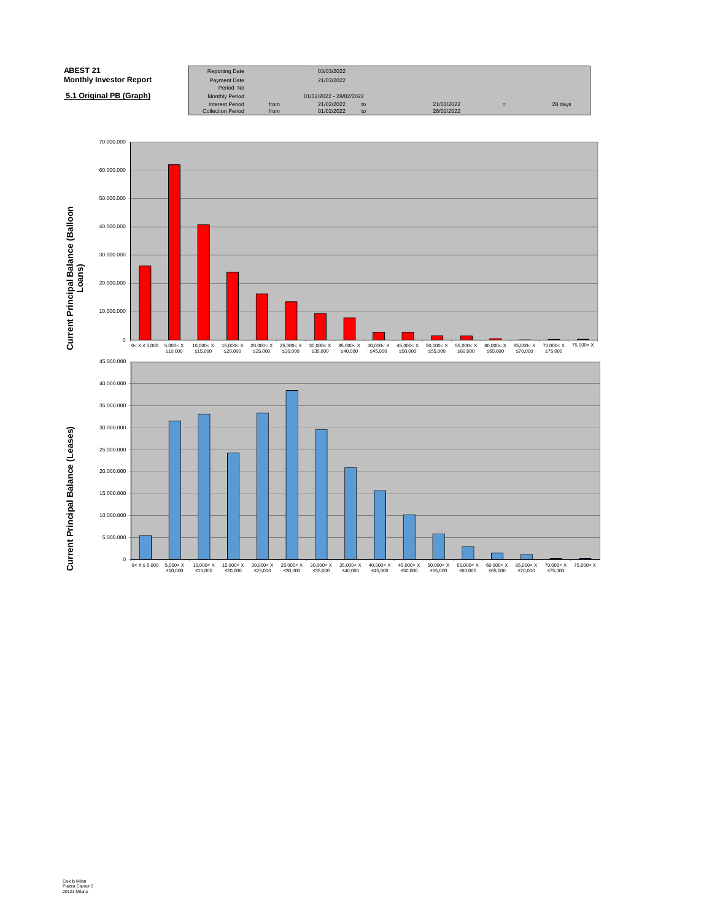| <b>ABEST 21</b>                | <b>Reporting Date</b>            |      | 03/03/2022              |    |            |   |         |
|--------------------------------|----------------------------------|------|-------------------------|----|------------|---|---------|
| <b>Monthly Investor Report</b> | <b>Payment Date</b><br>Period No |      | 21/03/2022              |    |            |   |         |
| 5.1 Original PB (Graph)        | <b>Monthly Period</b>            |      | 01/02/2022 - 28/02/2022 |    |            |   |         |
|                                | <b>Interest Period</b>           | from | 21/02/2022              | to | 21/03/2022 | = | 28 days |
|                                | <b>Collection Period</b>         | from | 01/02/2022              | to | 28/02/2022 |   |         |

![](_page_8_Figure_1.jpeg)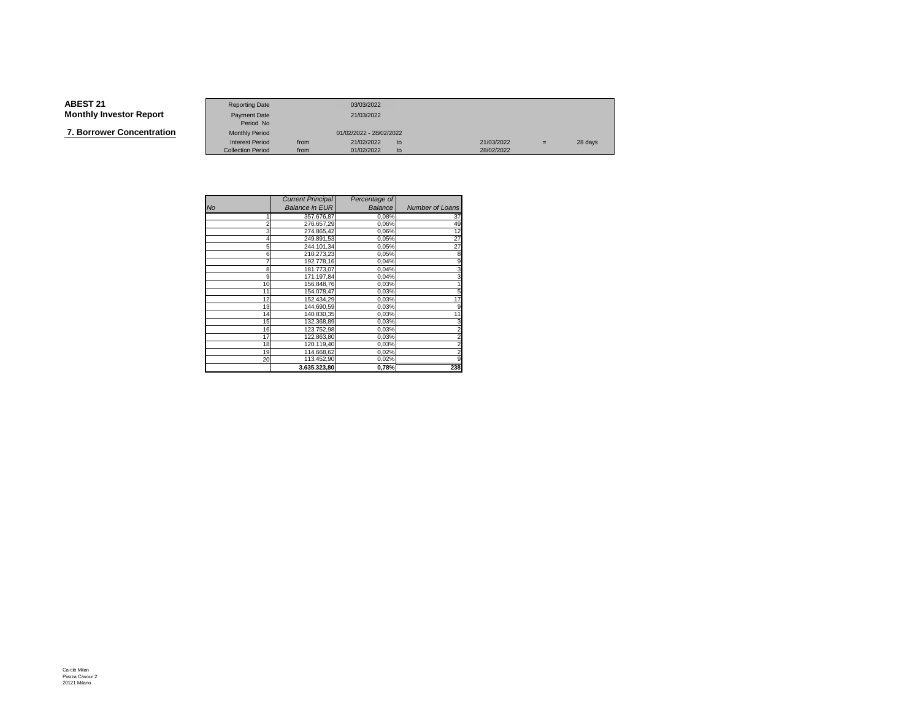**7. Borrower Concentration**

|                   | <b>Reporting Date</b>    |      | 03/03/2022              |    |            |     |         |
|-------------------|--------------------------|------|-------------------------|----|------------|-----|---------|
| Investor Report   | Payment Date             |      | 21/03/2022              |    |            |     |         |
|                   | Period No                |      |                         |    |            |     |         |
| wer Concentration | <b>Monthly Period</b>    |      | 01/02/2022 - 28/02/2022 |    |            |     |         |
|                   | <b>Interest Period</b>   | from | 21/02/2022              | to | 21/03/2022 | $=$ | 28 days |
|                   | <b>Collection Period</b> | from | 01/02/2022              | to | 28/02/2022 |     |         |

|                | <b>Current Principal</b> | Percentage of |                        |
|----------------|--------------------------|---------------|------------------------|
| <b>No</b>      | <b>Balance in EUR</b>    | Balance       | <b>Number of Loans</b> |
|                | 357.676,87               | 0,08%         | 37                     |
| $\overline{c}$ | 276.657,29               | 0,06%         | 49                     |
| 3              | 274.865,42               | 0,06%         | 12                     |
| 4              | 249.891,53               | 0,05%         | 27                     |
| 5              | 244.101.34               | 0,05%         | 27                     |
| 6              | 210.273,23               | 0,05%         | 8                      |
|                | 192.778,16               | 0,04%         | 9                      |
| 8              | 181.773.07               | 0,04%         | 3                      |
| 9              | 171.197,84               | 0,04%         |                        |
| 10             | 156.848,76               | 0,03%         |                        |
| 11             | 154.078,47               | 0,03%         | 5                      |
| 12             | 152.434,29               | 0,03%         | 17                     |
| 13             | 144.690,59               | 0,03%         | 9                      |
| 14             | 140.830,35               | 0,03%         | 11                     |
| 15             | 132.368,89               | 0,03%         | 3                      |
| 16             | 123.752,98               | 0,03%         |                        |
| 17             | 122.863.80               | 0,03%         | $\overline{2}$         |
| 18             | 120.119,40               | 0,03%         |                        |
| 19             | 114.668,62               | 0,02%         | $\overline{c}$         |
| 20             | 113.452,90               | 0,02%         | 9                      |
|                | 3.635.323.80             | 0,78%         | 238                    |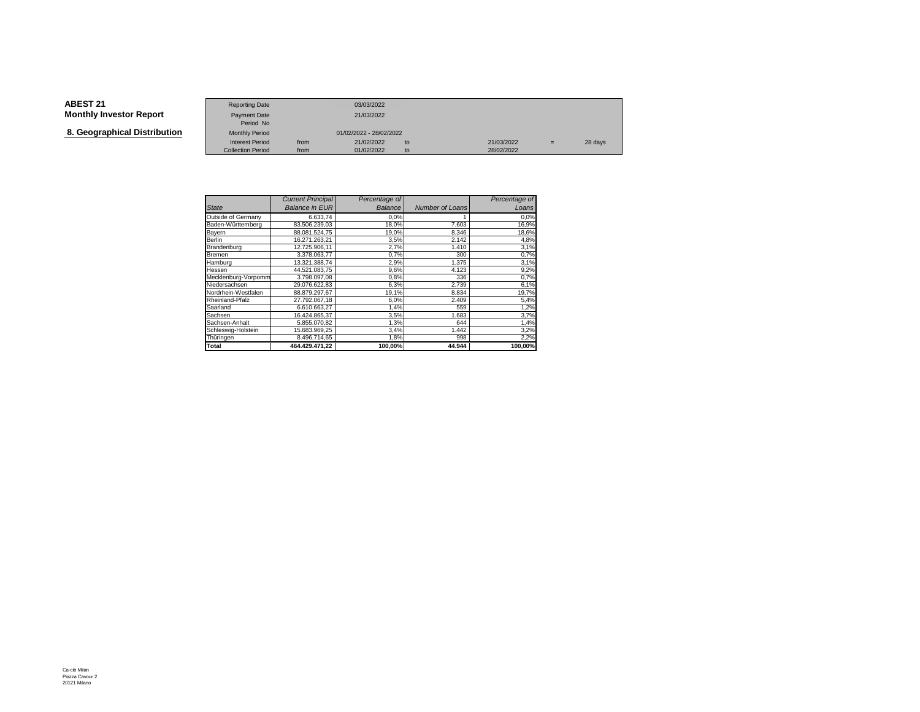**8. Geographical Distribution**

|                                   | <b>Reporting Date</b>     |      | 03/03/2022              |    |            |     |         |
|-----------------------------------|---------------------------|------|-------------------------|----|------------|-----|---------|
| Investor Report                   | Payment Date<br>Period No |      | 21/03/2022              |    |            |     |         |
| aphical Distribution <sup>.</sup> | <b>Monthly Period</b>     |      | 01/02/2022 - 28/02/2022 |    |            |     |         |
|                                   | <b>Interest Period</b>    | from | 21/02/2022              | to | 21/03/2022 | $=$ | 28 days |
|                                   | <b>Collection Period</b>  | from | 01/02/2022              | to | 28/02/2022 |     |         |

|                     | <b>Current Principal</b> | Percentage of |                 | Percentage of |
|---------------------|--------------------------|---------------|-----------------|---------------|
| <b>State</b>        | <b>Balance in EUR</b>    | Balance       | Number of Loans | Loans         |
| Outside of Germany  | 6.633,74                 | 0.0%          |                 | 0.0%          |
| Baden-Württemberg   | 83.506.239.03            | 18,0%         | 7.603           | 16,9%         |
| Bayern              | 88.081.524.75            | 19,0%         | 8.346           | 18,6%         |
| Berlin              | 16.271.263.21            | 3,5%          | 2.142           | 4,8%          |
| Brandenburg         | 12.725.906,11            | 2,7%          | 1.410           | 3,1%          |
| Bremen              | 3.378.063.77             | 0.7%          | 300             | 0,7%          |
| Hamburg             | 13.321.388.74            | 2,9%          | 1.375           | 3,1%          |
| Hessen              | 44.521.083.75            | 9,6%          | 4.123           | 9,2%          |
| Mecklenburg-Vorpomm | 3.798.097.08             | 0.8%          | 336             | 0,7%          |
| Niedersachsen       | 29.076.622,83            | 6,3%          | 2.739           | 6,1%          |
| Nordrhein-Westfalen | 88.879.297.67            | 19,1%         | 8.834           | 19,7%         |
| Rheinland-Pfalz     | 27.792.067,18            | 6,0%          | 2.409           | 5,4%          |
| Saarland            | 6.610.663.27             | 1,4%          | 559             | 1,2%          |
| Sachsen             | 16.424.865.37            | 3,5%          | 1.683           | 3,7%          |
| Sachsen-Anhalt      | 5.855.070,82             | 1,3%          | 644             | 1,4%          |
| Schleswig-Holstein  | 15.683.969,25            | 3,4%          | 1.442           | 3,2%          |
| Thüringen           | 8.496.714,65             | 1,8%          | 998             | 2,2%          |
| Total               | 464.429.471.22           | 100,00%       | 44.944          | 100,00%       |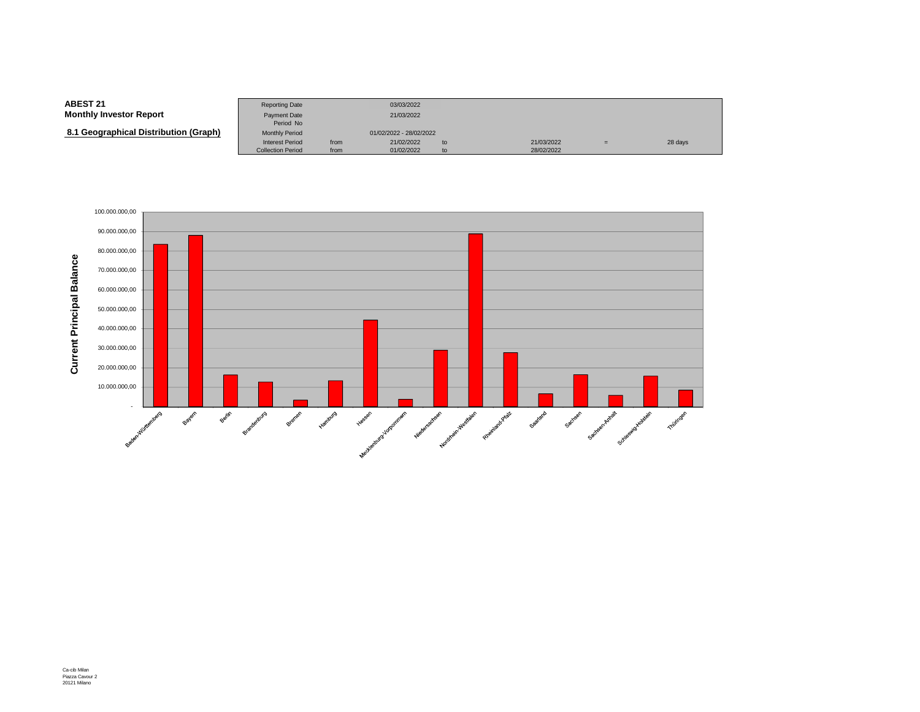#### **ABEST 21**Reporting Date 03/03/2022<br>Payment Date 21/03/2022 **Monthly Investor Report**Payment Date Period NoMonthly Period  **8.1 Geographical Distribution (Graph)**Monthly Period 01/02/2022 - 28/02/2022<br>Interest Period from 21/02/2022 Interest Period from 21/02/2022 to 21/03/2022 <sup>=</sup> 28 daysCollection Period from 01/02/2022 to 28/02/2022

![](_page_11_Figure_1.jpeg)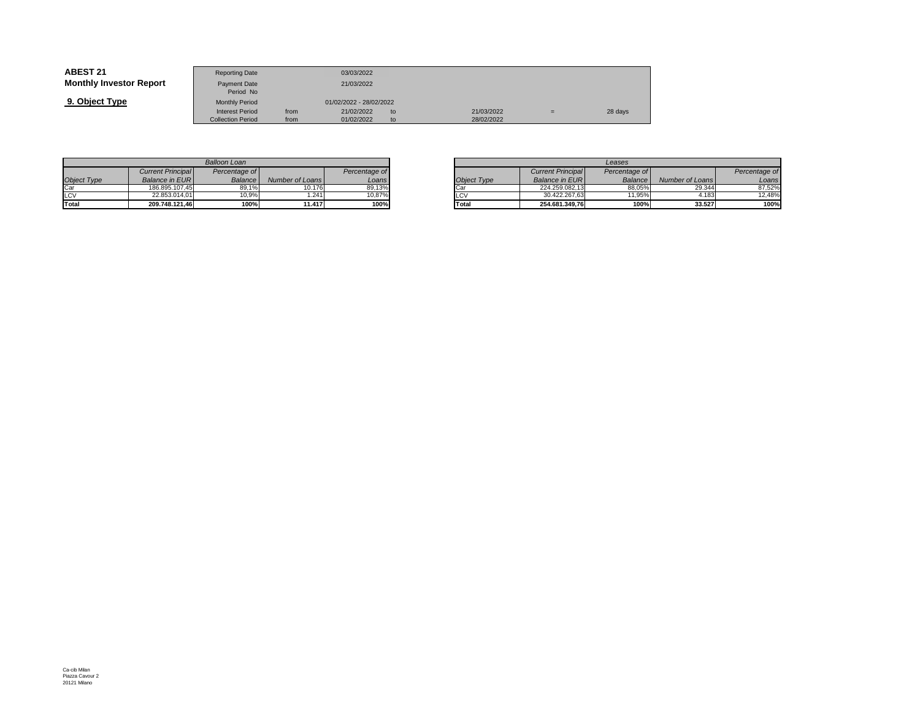| <b>ABEST 21</b>                | <b>Reporting Date</b>            |      | 03/03/2022              |     |            |     |         |
|--------------------------------|----------------------------------|------|-------------------------|-----|------------|-----|---------|
| <b>Monthly Investor Report</b> | <b>Payment Date</b><br>Period No |      | 21/03/2022              |     |            |     |         |
| 9. Object Type                 | <b>Monthly Period</b>            |      | 01/02/2022 - 28/02/2022 |     |            |     |         |
|                                | <b>Interest Period</b>           | from | 21/02/2022              | to. | 21/03/2022 | $=$ | 28 days |
|                                | <b>Collection Period</b>         | from | 01/02/2022              | to  | 28/02/2022 |     |         |

|             |                          | Balloon Loan   |                 |               |
|-------------|--------------------------|----------------|-----------------|---------------|
|             | <b>Current Principal</b> | Percentage of  |                 | Percentage of |
| Object Type | <b>Balance in EURI</b>   | <b>Balance</b> | Number of Loans | Loans         |
| Car         | 186.895.107.45           | 89.1%          | 10.176          | 89,13%        |
| LCV         | 22.853.014.01            | 10.9%          | .241            | 10.87%        |
| Total       | 209.748.121.46           | 100%           | 11.417          | 100%          |

|       |                 |               |             | Leases                   |                |                 |  |  |  |
|-------|-----------------|---------------|-------------|--------------------------|----------------|-----------------|--|--|--|
| ae of |                 | Percentage of |             | <b>Current Principal</b> | Percentage of  |                 |  |  |  |
| ance  | Number of Loans | Loans         | Object Type | <b>Balance in EURI</b>   | <b>Balance</b> | Number of Loans |  |  |  |
| 19.1% | 10.176          | 89.13%        | Car         | 224.259.082.13           | 88.05%         | 29.344          |  |  |  |
| 0.9%  | .241            | 10.87%        | LCV         | 30.422.267.63            | 11.95%         | 4.183           |  |  |  |
| 100%  | 11.417          | 100%          | Total       | 254.681.349.76           | 100%           | 33.527          |  |  |  |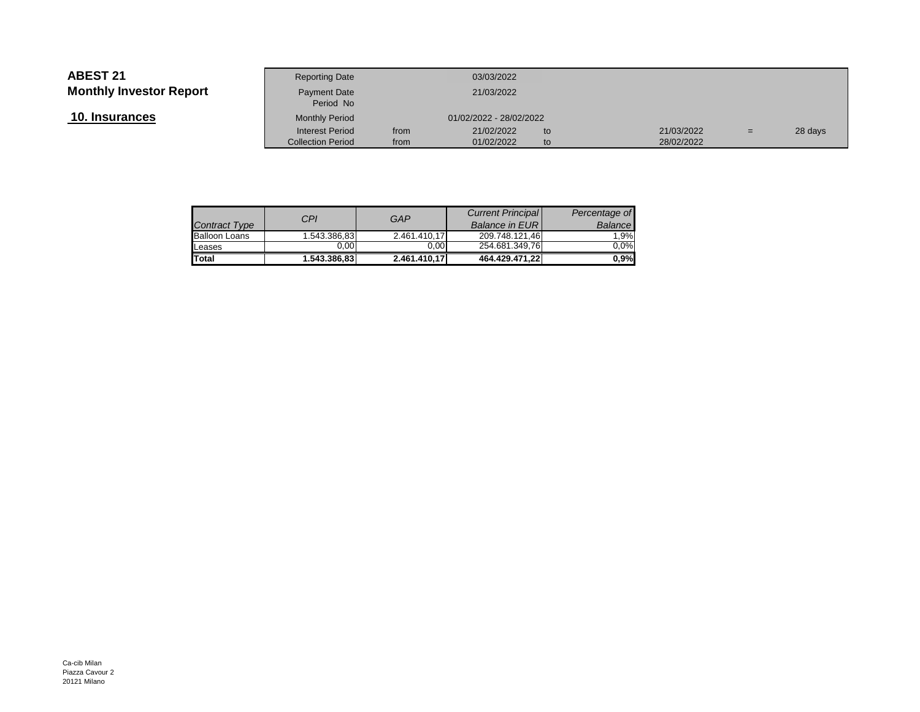**10. Insurances**

| Investor Report<br>Payment Date<br>Period No | 21/03/2022              |            |     |         |
|----------------------------------------------|-------------------------|------------|-----|---------|
| <u>ances</u><br><b>Monthly Period</b>        | 01/02/2022 - 28/02/2022 |            |     |         |
| <b>Interest Period</b><br>from               | 21/02/2022<br>to        | 21/03/2022 | $=$ | 28 days |
| <b>Collection Period</b><br>from             | 01/02/2022<br>to        | 28/02/2022 |     |         |

| <b>Contract Type</b> | CPI          | GAP          | <b>Current Principal</b><br><b>Balance in EURI</b> | Percentage of<br>Balance |
|----------------------|--------------|--------------|----------------------------------------------------|--------------------------|
| <b>Balloon Loans</b> | 1.543.386,83 | 2.461.410.17 | 209.748.121.46                                     | 1.9%                     |
| Leases               | 0.00         | 0.00         | 254.681.349,76                                     | $0.0\%$                  |
| <b>Total</b>         | 1.543.386,83 | 2.461.410.17 | 464.429.471.22                                     | $0.9\%$                  |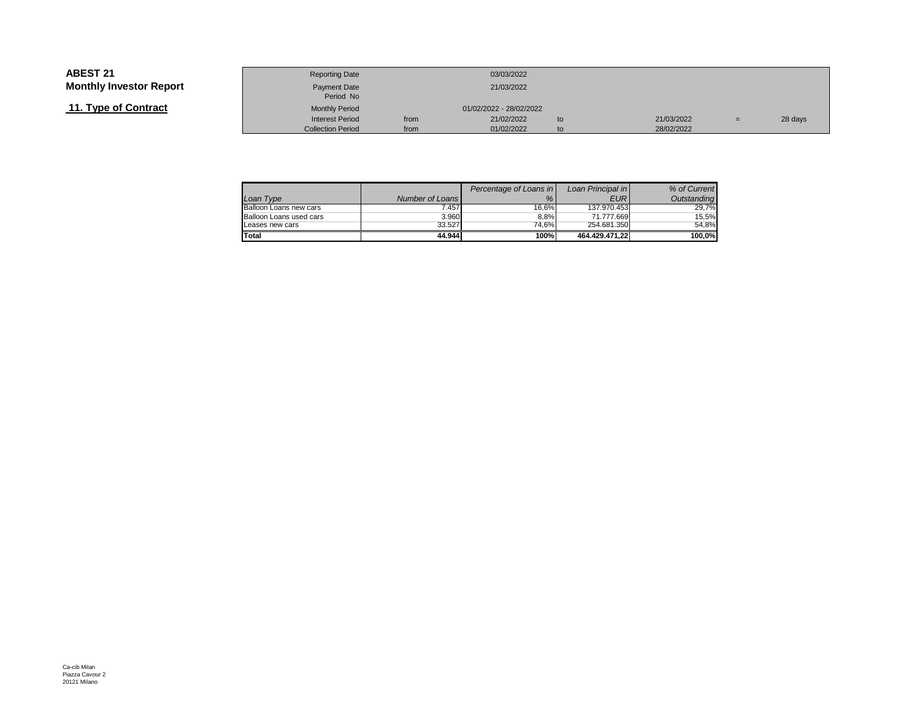# **11. Type of Contract**

|                 | <b>Reporting Date</b>     |      | 03/03/2022              |    |            |     |         |
|-----------------|---------------------------|------|-------------------------|----|------------|-----|---------|
| Investor Report | Payment Date<br>Period No |      | 21/03/2022              |    |            |     |         |
| of Contract     | <b>Monthly Period</b>     |      | 01/02/2022 - 28/02/2022 |    |            |     |         |
|                 | <b>Interest Period</b>    | from | 21/02/2022              | to | 21/03/2022 | $=$ | 28 days |
|                 | <b>Collection Period</b>  | from | 01/02/2022              | to | 28/02/2022 |     |         |

| Loan Type               | Number of Loans | Percentage of Loans in<br>% | Loan Principal in<br><b>EUR</b> | % of Current<br>Outstanding |
|-------------------------|-----------------|-----------------------------|---------------------------------|-----------------------------|
| Balloon Loans new cars  | 7.457           | 16.6%                       | 137.970.453                     | 29.7%                       |
| Balloon Loans used cars | 3.960           | 8.8%                        | 71.777.669                      | 15.5%                       |
| Leases new cars         | 33.527          | 74.6%                       | 254.681.350                     | 54.8%                       |
| Total                   | 44.944          | 100%                        | 464.429.471.22                  | 100.0%                      |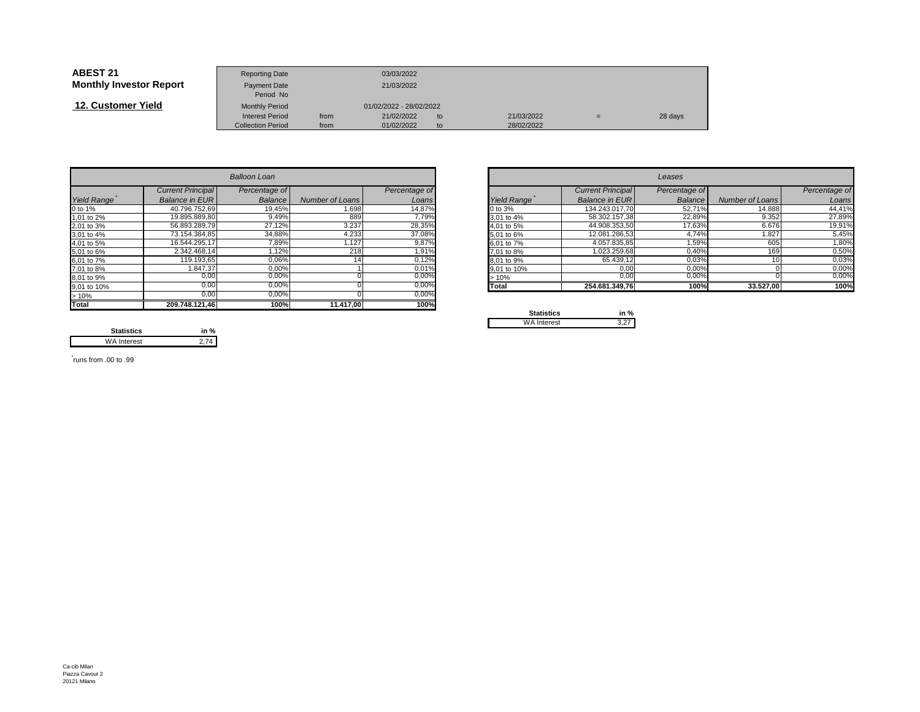| <b>ABEST 21</b>                | <b>Reporting Date</b>     |      | 03/03/2022              |    |            |     |         |
|--------------------------------|---------------------------|------|-------------------------|----|------------|-----|---------|
| <b>Monthly Investor Report</b> | Payment Date<br>Period No |      | 21/03/2022              |    |            |     |         |
| 12. Customer Yield             | <b>Monthly Period</b>     |      | 01/02/2022 - 28/02/2022 |    |            |     |         |
|                                | <b>Interest Period</b>    | from | 21/02/2022              | to | 21/03/2022 | $=$ | 28 days |
|                                | <b>Collection Period</b>  | from | 01/02/2022              | to | 28/02/2022 |     |         |

|                    |                          | <b>Balloon Loan</b> |                 |               |             |                          | Leases        |                 |               |
|--------------------|--------------------------|---------------------|-----------------|---------------|-------------|--------------------------|---------------|-----------------|---------------|
|                    | <b>Current Principal</b> | Percentage of       |                 | Percentage of |             | <b>Current Principal</b> | Percentage of |                 | Percentage of |
| <b>Yield Range</b> | <b>Balance in EURI</b>   | Balance             | Number of Loans | Loans         | Yield Range | <b>Balance in EURI</b>   | Balance       | Number of Loans | Loans         |
| 0 to 1%            | 40.796.752,69            | 19,45%              | 1.698           | 14,87%        | 0 to 3%     | 134.243.017,70           | 52,71%        | 14.888          | 44,41%        |
| 1,01 to 2%         | 19.895.889,80            | 9,49%               | 889             | 7,79%         | 3,01 to 4%  | 58.302.157.38            | 22,89%        | 9.352           | 27,89%        |
| 2,01 to 3%         | 56.893.289,79            | 27,12%              | 3.237           | 28,35%        | 4.01 to 5%  | 44.908.353,50            | 17,63%        | 6.676           | 19,91%        |
| 3,01 to 4%         | 73.154.384,85            | 34,88%              | 4.233           | 37,08%        | 5,01 to 6%  | 12.081.286,53            | 4,74%         | 1.827           | 5,45%         |
| 4,01 to 5%         | 16.544.295,17            | 7,89%               | 1.127           | 9,87%         | 6,01 to 7%  | 4.057.835,85             | 1,59%         | 605             | 1,80%         |
| 5,01 to 6%         | 2.342.468.14             | ,12%                | 218             | 1,91%         | 7,01 to 8%  | 1.023.259,68             | 0,40%         | 169             | 0,50%         |
| 6,01 to 7%         | 119.193.65               | 0,06%               |                 | 0,12%         | 8,01 to 9%  | 65.439,12                | 0,03%         |                 | 0,03%         |
| 7,01 to 8%         | 1.847,37                 | 0,00%               |                 | 0,01%         | 9,01 to 10% | 0,00                     | 0,00%         |                 | 0,00%         |
| 8,01 to 9%         | 0,00                     | 0,00%               |                 | $0,00\%$      | >10%        | 0,00                     | 0,00%         |                 | 0,00%         |
| 9,01 to 10%        | 0.00                     | 0,00%               |                 | 0,00%         | Total       | 254.681.349.76           | 100%          | 33.527,00       | 100%          |
| >10%               | 0,00                     | 0,00%               |                 | 0,00%         |             |                          |               |                 |               |
| <b>Total</b>       | 209.748.121,46           | 100%                | 11.417,00       | 100%          | Capalonico  | $1 - 0$                  |               |                 |               |

|       |                          | <b>Balloon Loan</b> |                 |               |             |                          | Leases        |                 |               |
|-------|--------------------------|---------------------|-----------------|---------------|-------------|--------------------------|---------------|-----------------|---------------|
|       | <b>Current Principal</b> | Percentage of       |                 | Percentage of |             | <b>Current Principal</b> | Percentage of |                 | Percentage of |
| Range | Balance in EUR           | Balance             | Number of Loans | Loans         | Yield Range | Balance in EUR           | Balance       | Number of Loans |               |
|       | 40.796.752,69            | 19,45%              | 1.698           | 14,87%        | 0 to 3%     | 134.243.017,70           | 52,71%        | 14.888          |               |
| o 2%  | 19.895.889,80            | 9,49%               | 889             | 7,79%         | 3,01 to 4%  | 58.302.157,38            | 22,89%        | 9.352           |               |
| o 3%  | 56.893.289,79            | 27,12%              | 3.237           | 28,35%        | 4,01 to 5%  | 44.908.353,50            | 17,63%        | 6.676           |               |
| o 4%  | 73.154.384,85            | 34,88%              | 4.233           | 37,08%        | 5,01 to 6%  | 12.081.286,53            | 4.74%         | 1.827           |               |
| o 5%  | 16.544.295,17            | 7,89%               | 1.127           | 9,87%         | 6,01 to 7%  | 4.057.835,85             | 1,59%         | 605             |               |
| о 6%  | 2.342.468.14             | 1,12%               | 218             | 1,91%         | 7,01 to 8%  | 1.023.259,68             | 0,40%         | <b>169</b>      |               |
| o 7%  | 119.193,65               | 0,06%               |                 | 0,12%         | 8,01 to 9%  | 65.439,12                | 0,03%         |                 |               |
| o 8%  | 1.847,37                 | 0,00%               |                 | 0,01%         | 9,01 to 10% | 0,00                     | 0,00%         |                 |               |
| о 9%  | 0,00                     | 0,00%               |                 | $0,00\%$      | $>10\%$     | 0,00                     | 0,00%         |                 |               |
| o 10% | 0,00                     | 0,00%               |                 | 0,00%         | Total       | 254.681.349,76           | 100%          | 33.527,00       |               |
|       |                          |                     |                 |               |             |                          |               |                 |               |

| <b>Statistics</b>  | in % |
|--------------------|------|
| <b>WA Interest</b> |      |

**Statistics in %** $2,74$ WA Interest

\* runs from .00 to .99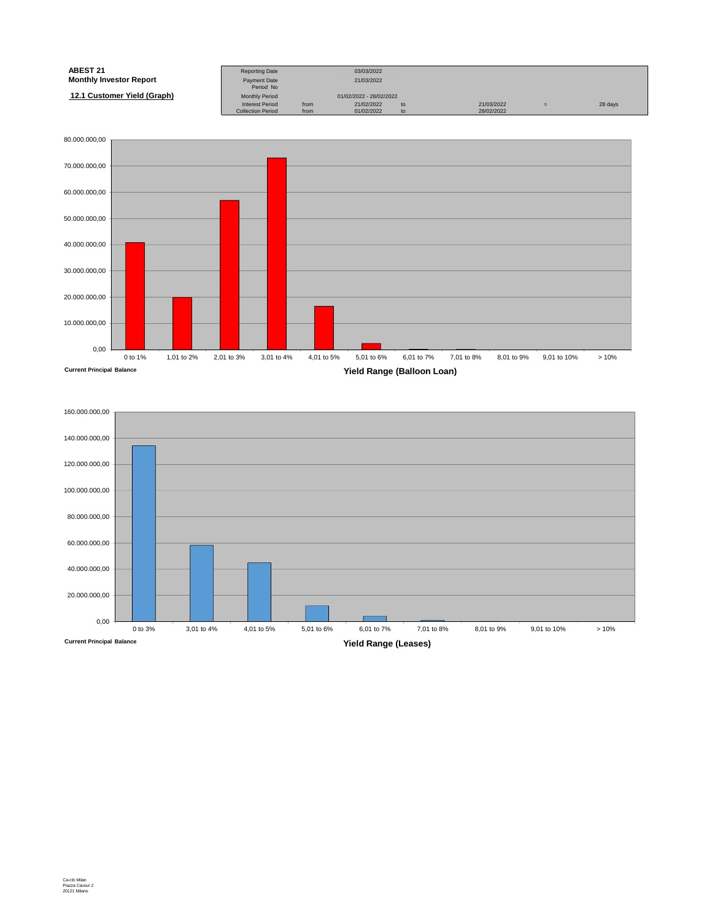| <b>ABEST 21</b>                | <b>Reporting Date</b>     |      | 03/03/2022              |    |            |     |         |
|--------------------------------|---------------------------|------|-------------------------|----|------------|-----|---------|
| <b>Monthly Investor Report</b> | Payment Date<br>Period No |      | 21/03/2022              |    |            |     |         |
| 12.1 Customer Yield (Graph)    | <b>Monthly Period</b>     |      | 01/02/2022 - 28/02/2022 |    |            |     |         |
|                                | <b>Interest Period</b>    | from | 21/02/2022              | to | 21/03/2022 | $=$ | 28 days |
|                                | <b>Collection Period</b>  | from | 01/02/2022              | to | 28/02/2022 |     |         |

![](_page_16_Figure_1.jpeg)

![](_page_16_Figure_2.jpeg)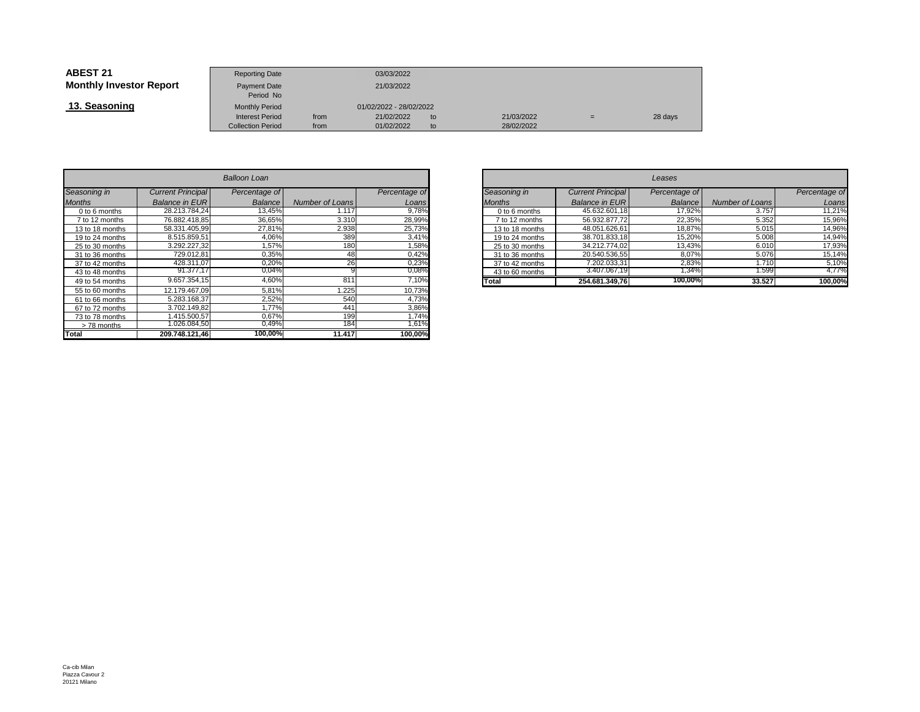| <b>ABEST 21</b>                | <b>Reporting Date</b>     |      | 03/03/2022              |    |            |     |         |
|--------------------------------|---------------------------|------|-------------------------|----|------------|-----|---------|
| <b>Monthly Investor Report</b> | Payment Date<br>Period No |      | 21/03/2022              |    |            |     |         |
| 13. Seasoning                  | <b>Monthly Period</b>     |      | 01/02/2022 - 28/02/2022 |    |            |     |         |
|                                | <b>Interest Period</b>    | from | 21/02/2022              | to | 21/03/2022 | $=$ | 28 days |
|                                | <b>Collection Period</b>  | from | 01/02/2022              | to | 28/02/2022 |     |         |

|                 |                          | Balloon Loan  |                 |               |
|-----------------|--------------------------|---------------|-----------------|---------------|
| Seasoning in    | <b>Current Principal</b> | Percentage of |                 | Percentage of |
| <b>Months</b>   | <b>Balance in EUR</b>    | Balance       | Number of Loans | Loans         |
| 0 to 6 months   | 28.213.784.24            | 13,45%        | 1.117           | 9,78%         |
| 7 to 12 months  | 76.882.418.85            | 36,65%        | 3.310           | 28,99%        |
| 13 to 18 months | 58.331.405.99            | 27,81%        | 2.938           | 25,73%        |
| 19 to 24 months | 8.515.859.51             | 4.06%         | 389             | 3,41%         |
| 25 to 30 months | 3.292.227.32             | 1,57%         | 180             | 1,58%         |
| 31 to 36 months | 729.012.81               | 0,35%         | 48              | 0,42%         |
| 37 to 42 months | 428.311.07               | 0,20%         | 26              | 0,23%         |
| 43 to 48 months | 91.377.17                | 0,04%         | 9               | 0,08%         |
| 49 to 54 months | 9.657.354.15             | 4,60%         | 811             | 7,10%         |
| 55 to 60 months | 12.179.467.09            | 5.81%         | 1.225           | 10,73%        |
| 61 to 66 months | 5.283.168.37             | 2,52%         | 540             | 4,73%         |
| 67 to 72 months | 3.702.149.82             | 1.77%         | 441             | 3,86%         |
| 73 to 78 months | 1.415.500.57             | 0.67%         | 199             | 1,74%         |
| >78 months      | 1.026.084.50             | 0,49%         | 184             | 1,61%         |
| Total           | 209.748.121.46           | 100,00%       | 11.417          | 100,00%       |

| n                        |                              |               |                 | Leases                   |               |                 |               |  |  |  |  |
|--------------------------|------------------------------|---------------|-----------------|--------------------------|---------------|-----------------|---------------|--|--|--|--|
| ge of                    |                              | Percentage of | Seasoning in    | <b>Current Principal</b> | Percentage of |                 | Percentage of |  |  |  |  |
| ance                     | Number of Loans              | Loans         | <b>Months</b>   | <b>Balance in EUR</b>    | Balance       | Number of Loans | Loans         |  |  |  |  |
| 3,45%                    | 1.117                        | 9,78%         | 0 to 6 months   | 45.632.601,18            | 17.92%        | 3.757           | 11,21%        |  |  |  |  |
| 6,65%                    | 3.310                        | 28,99%        | 7 to 12 months  | 56.932.877,72            | 22,35%        | 5.352           | 15,96%        |  |  |  |  |
| ,81%                     | 2.938                        | 25,73%        | 13 to 18 months | 48.051.626,61            | 18,87%        | 5.015           | 14,96%        |  |  |  |  |
| $,06\%$                  | 389                          | 3,41%         | 19 to 24 months | 38.701.833,18            | 15,20%        | 5.008           | 14,94%        |  |  |  |  |
| ,57%                     | 180                          | .58%          | 25 to 30 months | 34.212.774.02            | 13,43%        | 6.010           | 17,93%        |  |  |  |  |
| 0,35%                    | 48                           | 0,42%         | 31 to 36 months | 20.540.536,55            | 8,07%         | 5.076           | 15,14%        |  |  |  |  |
| 0,20%                    | 26                           | 0.23%         | 37 to 42 months | 7.202.033,31             | 2,83%         | 1.710           | 5,10%         |  |  |  |  |
| 0.04%                    |                              | $0,08\%$      | 43 to 60 months | 3.407.067,19             | .34%          | 1.599           | 4,77%         |  |  |  |  |
| $0.60\%$                 | 811                          | 7,10%         | Total           | 254.681.349.76           | 100,00%       | 33.527          | 100,00%       |  |  |  |  |
| $\overline{\phantom{a}}$ | $\cdot$ $\sim$ $\sim$ $\sim$ | $\cdots$      |                 |                          |               |                 |               |  |  |  |  |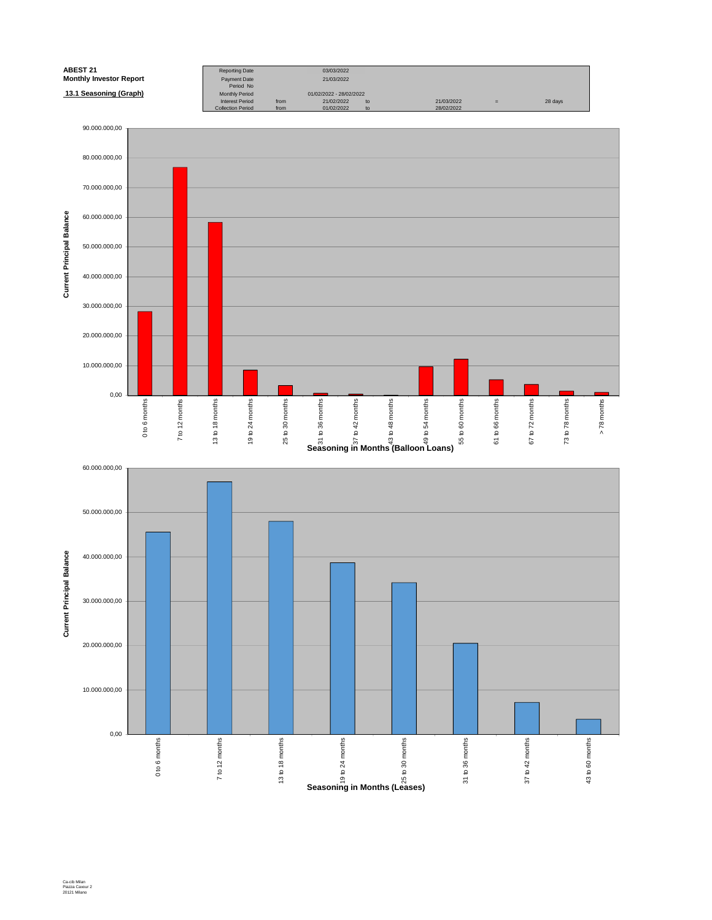![](_page_18_Figure_0.jpeg)

Ca-cib Milan Piazza Cavour 2 20121 Milano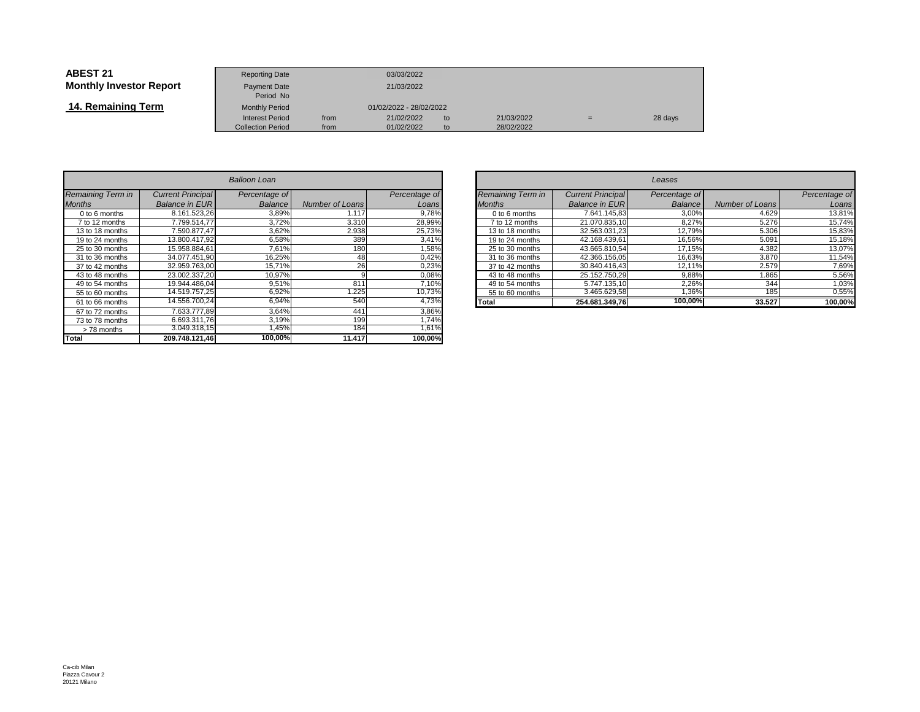| ABEST 21                       | <b>Reporting Date</b>            |      | 03/03/2022              |    |            |     |         |  |
|--------------------------------|----------------------------------|------|-------------------------|----|------------|-----|---------|--|
| <b>Monthly Investor Report</b> | <b>Payment Date</b><br>Period No |      | 21/03/2022              |    |            |     |         |  |
| 14. Remaining Term             | <b>Monthly Period</b>            |      | 01/02/2022 - 28/02/2022 |    |            |     |         |  |
|                                | <b>Interest Period</b>           | from | 21/02/2022              | to | 21/03/2022 | $=$ | 28 days |  |
|                                | <b>Collection Period</b>         | from | 01/02/2022              | to | 28/02/2022 |     |         |  |

| Balloon Loan      |                          |               |                        |               |  |  |  |  |  |
|-------------------|--------------------------|---------------|------------------------|---------------|--|--|--|--|--|
| Remaining Term in | <b>Current Principal</b> | Percentage of |                        | Percentage of |  |  |  |  |  |
| <b>Months</b>     | <b>Balance in EUR</b>    | Balance       | <b>Number of Loans</b> | Loans         |  |  |  |  |  |
| 0 to 6 months     | 8.161.523.26             | 3,89%         | 1.117                  | 9,78%         |  |  |  |  |  |
| 7 to 12 months    | 7.799.514.77             | 3,72%         | 3.310                  | 28,99%        |  |  |  |  |  |
| 13 to 18 months   | 7.590.877.47             | 3,62%         | 2.938                  | 25,73%        |  |  |  |  |  |
| 19 to 24 months   | 13.800.417.92            | 6,58%         | 389                    | 3,41%         |  |  |  |  |  |
| 25 to 30 months   | 15.958.884.61            | 7,61%         | 180                    | 1,58%         |  |  |  |  |  |
| 31 to 36 months   | 34.077.451,90            | 16,25%        | 48                     | 0,42%         |  |  |  |  |  |
| 37 to 42 months   | 32.959.763,00            | 15,71%        | 26                     | 0,23%         |  |  |  |  |  |
| 43 to 48 months   | 23.002.337.20            | 10,97%        | 9                      | 0,08%         |  |  |  |  |  |
| 49 to 54 months   | 19.944.486.04            | 9,51%         | 811                    | 7,10%         |  |  |  |  |  |
| 55 to 60 months   | 14.519.757,25            | 6,92%         | 1.225                  | 10,73%        |  |  |  |  |  |
| 61 to 66 months   | 14.556.700.24            | 6,94%         | 540                    | 4,73%         |  |  |  |  |  |
| 67 to 72 months   | 7.633.777.89             | 3,64%         | 441                    | 3,86%         |  |  |  |  |  |
| 73 to 78 months   | 6.693.311.76             | 3,19%         | 199                    | 1,74%         |  |  |  |  |  |
| >78 months        | 3.049.318,15             | 1,45%         | 184                    | 1,61%         |  |  |  |  |  |
| <b>Total</b>      | 209.748.121,46           | 100,00%       | 11.417                 | 100,00%       |  |  |  |  |  |

| $\overline{r}$ |                 |               |       |                          |                          | Leases        |                 |               |
|----------------|-----------------|---------------|-------|--------------------------|--------------------------|---------------|-----------------|---------------|
| ge of          |                 | Percentage of |       | <b>Remaining Term in</b> | <b>Current Principal</b> | Percentage of |                 | Percentage of |
| ance           | Number of Loans | Loans         |       | <b>Months</b>            | <b>Balance in EUR</b>    | Balance       | Number of Loans | Loans         |
| 8,89%          | 1.117           | 9,78%         |       | 0 to 6 months            | 7.641.145.83             | 3,00%         | 4.629           | 13,81%        |
| 3,72%          | 3.310           | 28,99%        |       | 7 to 12 months           | 21.070.835.10            | 8.27%         | 5.276           | 15,74%        |
| 3,62%          | 2.938           | 25,73%        |       | 13 to 18 months          | 32.563.031.23            | 12.79%        | 5.306           | 15,83%        |
| 5,58%          | 389             | 3,41%         |       | 19 to 24 months          | 42.168.439.61            | 16.56%        | 5.091           | 15,18%        |
| ,61%           | 180             | 1,58%         |       | 25 to 30 months          | 43.665.810.54            | 17.15%        | 4.382           | 13,07%        |
| 3,25%          | 48              | 0,42%         |       | 31 to 36 months          | 42.366.156,05            | 16,63%        | 3.870           | 11,54%        |
| 5,71%          | 26              | 0,23%         |       | 37 to 42 months          | 30.840.416.43            | 12.11%        | 2.579           | 7,69%         |
| ),97%          |                 | 0,08%         |       | 43 to 48 months          | 25.152.750.29            | 9,88%         | 1.865           | 5,56%         |
| 1,51%          | 811             | 7,10%         |       | 49 to 54 months          | 5.747.135.10             | 2.26%         | 344             | 1,03%         |
| ,92%           | .225            | 10.73%        |       | 55 to 60 months          | 3.465.629.58             | .36%          | 185             | 0,55%         |
| 6,94%          | 540             | 4,73%         | Total |                          | 254.681.349,76           | 100,00%       | 33.527          | 100,00%       |
| 0.001          |                 | 0.001         |       |                          |                          |               |                 |               |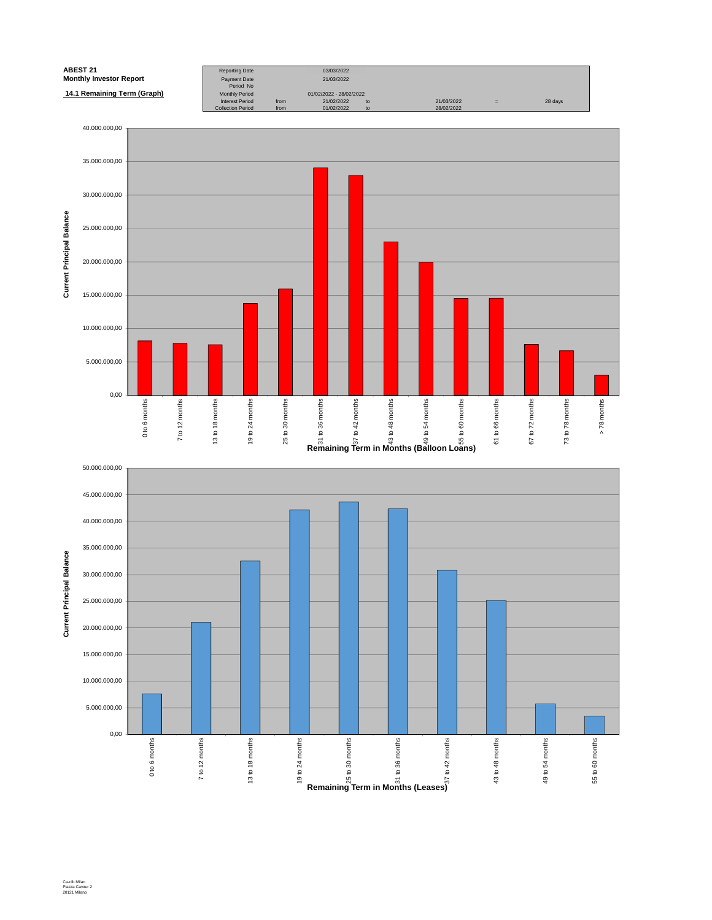![](_page_20_Figure_0.jpeg)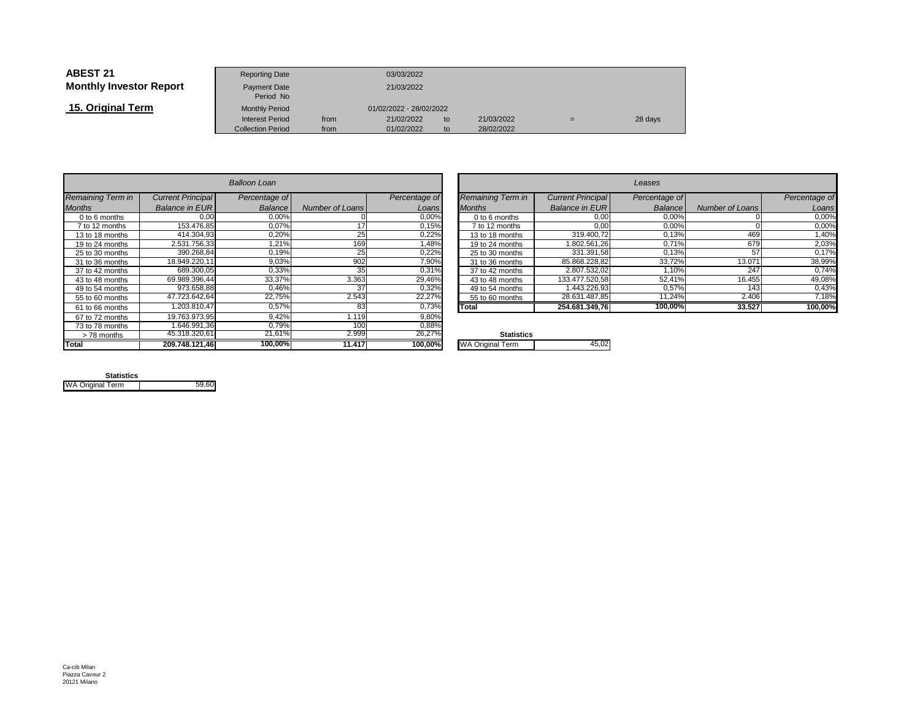| <b>ABEST 21</b>                | <b>Reporting Date</b>     |            | 03/03/2022              |    |            |   |         |
|--------------------------------|---------------------------|------------|-------------------------|----|------------|---|---------|
| <b>Monthly Investor Report</b> | Payment Date<br>Period No | 21/03/2022 |                         |    |            |   |         |
| 15. Original Term              | <b>Monthly Period</b>     |            | 01/02/2022 - 28/02/2022 |    |            |   |         |
|                                | <b>Interest Period</b>    | from       | 21/02/2022              | to | 21/03/2022 | = | 28 days |
|                                | <b>Collection Period</b>  | from       | 01/02/2022              | to | 28/02/2022 |   |         |

|                   |                          | Balloon Loan  |                 |               |                         |
|-------------------|--------------------------|---------------|-----------------|---------------|-------------------------|
| Remaining Term in | <b>Current Principal</b> | Percentage of |                 | Percentage of | Remaining Term in       |
| <b>Months</b>     | <b>Balance in EUR</b>    | Balance       | Number of Loans | Loans         | <b>Months</b>           |
| 0 to 6 months     | 0.00                     | 0.00%         |                 | 0,00%         | 0 to 6 months           |
| 7 to 12 months    | 153.476,85               | 0,07%         | 17              | 0,15%         | 7 to 12 months          |
| 13 to 18 months   | 414.304.93               | 0,20%         | 25              | 0,22%         | 13 to 18 months         |
| 19 to 24 months   | 2.531.756.33             | 1,21%         | 169             | 1,48%         | 19 to 24 months         |
| 25 to 30 months   | 390.268.84               | 0,19%         | 25              | 0,22%         | 25 to 30 months         |
| 31 to 36 months   | 18.949.220.11            | 9,03%         | 902             | 7,90%         | 31 to 36 months         |
| 37 to 42 months   | 689.300,05               | 0.33%         | 35              | 0,31%         | 37 to 42 months         |
| 43 to 48 months   | 69.989.396.44            | 33,37%        | 3.363           | 29,46%        | 43 to 48 months         |
| 49 to 54 months   | 973.658,88               | 0.46%         | 37              | 0,32%         | 49 to 54 months         |
| 55 to 60 months   | 47.723.642.64            | 22.75%        | 2.543           | 22,27%        | 55 to 60 months         |
| 61 to 66 months   | 1.203.810.47             | 0.57%         | 83              | 0.73%         | Total                   |
| 67 to 72 months   | 19.763.973.95            | 9.42%         | 1.119           | 9,80%         |                         |
| 73 to 78 months   | 1.646.991.36             | 0,79%         | 100             | 0,88%         |                         |
| > 78 months       | 45.318.320,61            | 21,61%        | 2.999           | 26,27%        | <b>Statistics</b>       |
| Total             | 209.748.121,46           | 100.00%       | 11.417          | 100,00%       | <b>WA Original Term</b> |

| n        |                          |               |                          | Leases                   |               |                 |               |  |  |  |
|----------|--------------------------|---------------|--------------------------|--------------------------|---------------|-----------------|---------------|--|--|--|
| ge of    |                          | Percentage of | <b>Remaining Term in</b> | <b>Current Principal</b> | Percentage of |                 | Percentage of |  |  |  |
| ance     | <b>Number of Loans</b>   | Loans         | <b>Months</b>            | <b>Balance in EUR</b>    | Balance       | Number of Loans | Loans         |  |  |  |
| $0,00\%$ |                          | 0,00%         | 0 to 6 months            | 0,00                     | 0,00%         |                 | 0,00%         |  |  |  |
| $0,07\%$ |                          | 0,15%         | 7 to 12 months           | 0,00                     | 0,00%         |                 | 0,00%         |  |  |  |
| 0,20%    | 25                       | 0,22%         | 13 to 18 months          | 319.400,72               | 0,13%         | 469             | 1,40%         |  |  |  |
| ,21%     | 169                      | 1.48%         | 19 to 24 months          | 1.802.561.26             | 0,71%         | 679             | 2,03%         |  |  |  |
| 1,19%    | 25                       | 0,22%         | 25 to 30 months          | 331.391,58               | 0,13%         | 57              | 0,17%         |  |  |  |
| 0,03%    | 902                      | 7,90%         | 31 to 36 months          | 85.868.228,82            | 33,72%        | 13.071          | 38,99%        |  |  |  |
| 0,33%    | 35                       | 0.31%         | 37 to 42 months          | 2.807.532.02             | 1.10%         | 247             | 0.74%         |  |  |  |
| $3,37\%$ | 3.363                    | 29,46%        | 43 to 48 months          | 133.477.520.58           | 52,41%        | 16.455          | 49,08%        |  |  |  |
| ,46%     | 37                       | 0,32%         | 49 to 54 months          | 1.443.226,93             | 0,57%         | 143             | 0,43%         |  |  |  |
| 2,75%    | 2.543                    | 22,27%        | 55 to 60 months          | 28.631.487,85            | 11,24%        | 2.406           | 7,18%         |  |  |  |
| 0,57%    | 83                       | 0,73%         | Total                    | 254.681.349.76           | 100,00%       | 33.527          | 100,00%       |  |  |  |
| 1001     | $\overline{\phantom{a}}$ | 0.0001        |                          |                          |               |                 |               |  |  |  |

| $\mathbf{O}/$ | <b>Statistics</b>       |  |
|---------------|-------------------------|--|
| %             | <b>WA Original Term</b> |  |
|               |                         |  |

| <b>Statistics</b>       |       |
|-------------------------|-------|
| <b>WA Original Term</b> | 59.60 |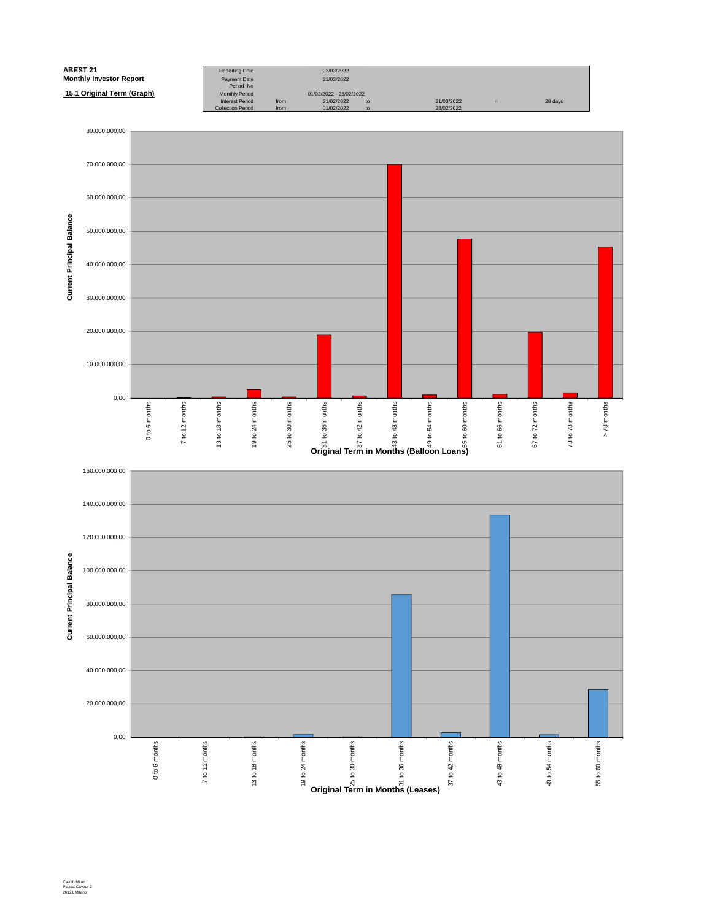![](_page_22_Figure_0.jpeg)

Ca-cib Milan Piazza Cavour 2 20121 Milano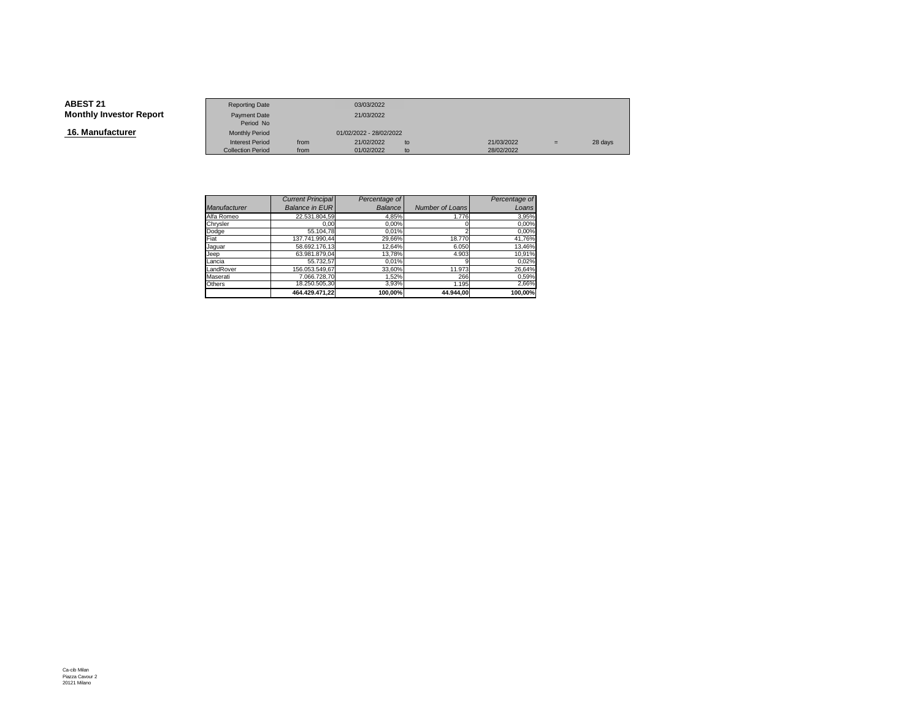**16. Manufacturer**

|                        | <b>Reporting Date</b>    |            | 03/03/2022              |    |            |     |         |
|------------------------|--------------------------|------------|-------------------------|----|------------|-----|---------|
| <b>Investor Report</b> | Payment Date             | 21/03/2022 |                         |    |            |     |         |
|                        | Period No                |            |                         |    |            |     |         |
| ıfacturer              | <b>Monthly Period</b>    |            | 01/02/2022 - 28/02/2022 |    |            |     |         |
|                        | <b>Interest Period</b>   | from       | 21/02/2022              | to | 21/03/2022 | $=$ | 28 days |
|                        | <b>Collection Period</b> | from       | 01/02/2022              | to | 28/02/2022 |     |         |

|              | <b>Current Principal</b> | Percentage of  |                        | Percentage of |
|--------------|--------------------------|----------------|------------------------|---------------|
| Manufacturer | <b>Balance in EUR</b>    | <b>Balance</b> | <b>Number of Loans</b> | Loans         |
| Alfa Romeo   | 22.531.804.59            | 4,85%          | 1.776                  | 3,95%         |
| Chrysler     | 0.00                     | 0,00%          |                        | 0,00%         |
| Dodge        | 55.104,78                | 0.01%          |                        | 0,00%         |
| Fiat         | 137.741.990,44           | 29,66%         | 18,770                 | 41,76%        |
| Jaquar       | 58.692.176.13            | 12,64%         | 6.050                  | 13,46%        |
| Jeep         | 63.981.879.04            | 13.78%         | 4.903                  | 10,91%        |
| Lancia       | 55.732.57                | 0,01%          |                        | 0,02%         |
| LandRover    | 156.053.549.67           | 33,60%         | 11.973                 | 26,64%        |
| Maserati     | 7.066.728.70             | 1.52%          | 266                    | 0,59%         |
| Others       | 18.250.505,30            | 3,93%          | 1.195                  | 2,66%         |
|              | 464.429.471.22           | 100.00%        | 44.944.00              | 100.00%       |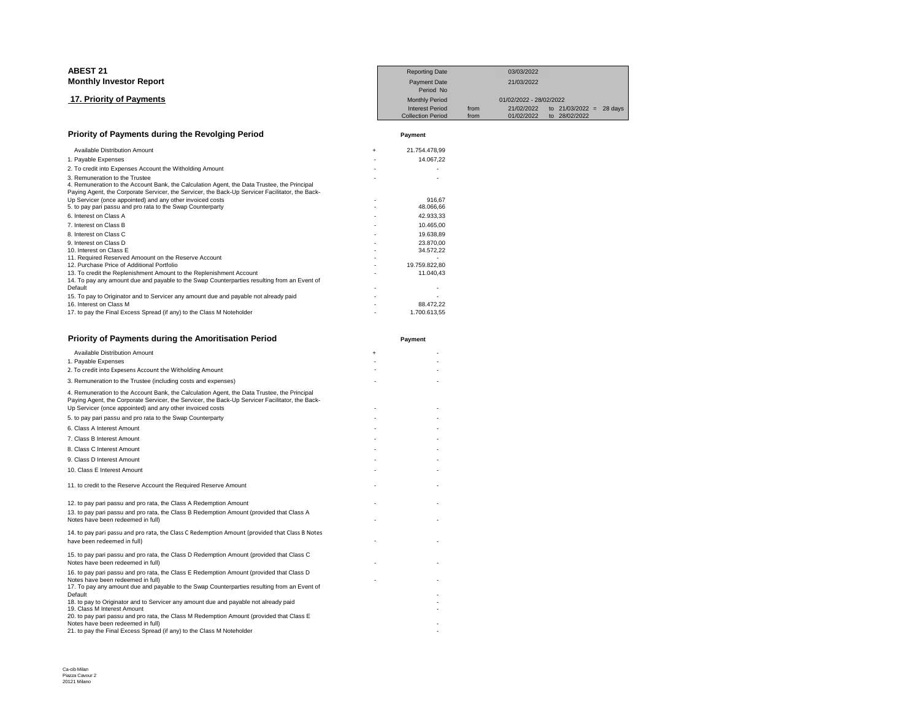| <b>ABEST 21</b>                                                                                                                                                                                                                                                                                                                                                                                                                                                                                                                                                                                                                                                                                                                                                                                                                                                                                                                                                                                                                                       |     | <b>Reporting Date</b>                           |      | 03/03/2022                            |               |         |
|-------------------------------------------------------------------------------------------------------------------------------------------------------------------------------------------------------------------------------------------------------------------------------------------------------------------------------------------------------------------------------------------------------------------------------------------------------------------------------------------------------------------------------------------------------------------------------------------------------------------------------------------------------------------------------------------------------------------------------------------------------------------------------------------------------------------------------------------------------------------------------------------------------------------------------------------------------------------------------------------------------------------------------------------------------|-----|-------------------------------------------------|------|---------------------------------------|---------------|---------|
| <b>Monthly Investor Report</b>                                                                                                                                                                                                                                                                                                                                                                                                                                                                                                                                                                                                                                                                                                                                                                                                                                                                                                                                                                                                                        |     | <b>Payment Date</b><br>Period No                |      | 21/03/2022                            |               |         |
| 17. Priority of Payments                                                                                                                                                                                                                                                                                                                                                                                                                                                                                                                                                                                                                                                                                                                                                                                                                                                                                                                                                                                                                              |     | <b>Monthly Period</b><br><b>Interest Period</b> | from | 01/02/2022 - 28/02/2022<br>21/02/2022 | to 21/03/2022 | 28 days |
|                                                                                                                                                                                                                                                                                                                                                                                                                                                                                                                                                                                                                                                                                                                                                                                                                                                                                                                                                                                                                                                       |     | <b>Collection Period</b>                        | from | 01/02/2022                            | to 28/02/2022 | $=$     |
| Priority of Payments during the Revolging Period<br>Available Distribution Amount<br>1. Payable Expenses<br>2. To credit into Expenses Account the Witholding Amount<br>3. Remuneration to the Trustee<br>4. Remuneration to the Account Bank, the Calculation Agent, the Data Trustee, the Principal<br>Paying Agent, the Corporate Servicer, the Servicer, the Back-Up Servicer Facilitator, the Back-<br>Up Servicer (once appointed) and any other invoiced costs<br>5. to pay pari passu and pro rata to the Swap Counterparty<br>6. Interest on Class A<br>7. Interest on Class B<br>8. Interest on Class C<br>9. Interest on Class D<br>10. Interest on Class E<br>11. Required Reserved Amoount on the Reserve Account<br>12. Purchase Price of Additional Portfolio<br>13. To credit the Replenishment Amount to the Replenishment Account<br>14. To pay any amount due and payable to the Swap Counterparties resulting from an Event of<br>Default<br>15. To pay to Originator and to Servicer any amount due and payable not already paid |     | Payment                                         |      |                                       |               |         |
|                                                                                                                                                                                                                                                                                                                                                                                                                                                                                                                                                                                                                                                                                                                                                                                                                                                                                                                                                                                                                                                       | $+$ | 21.754.478.99                                   |      |                                       |               |         |
|                                                                                                                                                                                                                                                                                                                                                                                                                                                                                                                                                                                                                                                                                                                                                                                                                                                                                                                                                                                                                                                       |     | 14.067.22                                       |      |                                       |               |         |
|                                                                                                                                                                                                                                                                                                                                                                                                                                                                                                                                                                                                                                                                                                                                                                                                                                                                                                                                                                                                                                                       |     |                                                 |      |                                       |               |         |
|                                                                                                                                                                                                                                                                                                                                                                                                                                                                                                                                                                                                                                                                                                                                                                                                                                                                                                                                                                                                                                                       |     |                                                 |      |                                       |               |         |
|                                                                                                                                                                                                                                                                                                                                                                                                                                                                                                                                                                                                                                                                                                                                                                                                                                                                                                                                                                                                                                                       |     | 916.67                                          |      |                                       |               |         |
|                                                                                                                                                                                                                                                                                                                                                                                                                                                                                                                                                                                                                                                                                                                                                                                                                                                                                                                                                                                                                                                       |     | 48.066.66                                       |      |                                       |               |         |
|                                                                                                                                                                                                                                                                                                                                                                                                                                                                                                                                                                                                                                                                                                                                                                                                                                                                                                                                                                                                                                                       |     | 42.933,33                                       |      |                                       |               |         |
|                                                                                                                                                                                                                                                                                                                                                                                                                                                                                                                                                                                                                                                                                                                                                                                                                                                                                                                                                                                                                                                       |     | 10.465.00                                       |      |                                       |               |         |
|                                                                                                                                                                                                                                                                                                                                                                                                                                                                                                                                                                                                                                                                                                                                                                                                                                                                                                                                                                                                                                                       |     | 19.638.89                                       |      |                                       |               |         |
|                                                                                                                                                                                                                                                                                                                                                                                                                                                                                                                                                                                                                                                                                                                                                                                                                                                                                                                                                                                                                                                       |     | 23.870.00                                       |      |                                       |               |         |
|                                                                                                                                                                                                                                                                                                                                                                                                                                                                                                                                                                                                                                                                                                                                                                                                                                                                                                                                                                                                                                                       |     | 34.572,22                                       |      |                                       |               |         |
|                                                                                                                                                                                                                                                                                                                                                                                                                                                                                                                                                                                                                                                                                                                                                                                                                                                                                                                                                                                                                                                       |     |                                                 |      |                                       |               |         |
|                                                                                                                                                                                                                                                                                                                                                                                                                                                                                                                                                                                                                                                                                                                                                                                                                                                                                                                                                                                                                                                       |     | 19.759.822.80                                   |      |                                       |               |         |
|                                                                                                                                                                                                                                                                                                                                                                                                                                                                                                                                                                                                                                                                                                                                                                                                                                                                                                                                                                                                                                                       |     | 11.040,43                                       |      |                                       |               |         |
|                                                                                                                                                                                                                                                                                                                                                                                                                                                                                                                                                                                                                                                                                                                                                                                                                                                                                                                                                                                                                                                       |     |                                                 |      |                                       |               |         |
|                                                                                                                                                                                                                                                                                                                                                                                                                                                                                                                                                                                                                                                                                                                                                                                                                                                                                                                                                                                                                                                       |     |                                                 |      |                                       |               |         |
| 16. Interest on Class M                                                                                                                                                                                                                                                                                                                                                                                                                                                                                                                                                                                                                                                                                                                                                                                                                                                                                                                                                                                                                               |     | 88.472,22                                       |      |                                       |               |         |
| 17. to pay the Final Excess Spread (if any) to the Class M Noteholder                                                                                                                                                                                                                                                                                                                                                                                                                                                                                                                                                                                                                                                                                                                                                                                                                                                                                                                                                                                 |     | 1.700.613.55                                    |      |                                       |               |         |

- 1.700.613,55

-

| Priority of Payments during the Amoritisation Period                                                                                                                                                                                                        |           | Payment |
|-------------------------------------------------------------------------------------------------------------------------------------------------------------------------------------------------------------------------------------------------------------|-----------|---------|
| Available Distribution Amount                                                                                                                                                                                                                               | $\ddot{}$ |         |
| 1. Payable Expenses                                                                                                                                                                                                                                         |           |         |
| 2. To credit into Expesens Account the Witholding Amount                                                                                                                                                                                                    |           |         |
| 3. Remuneration to the Trustee (including costs and expenses)                                                                                                                                                                                               |           |         |
| 4. Remuneration to the Account Bank, the Calculation Agent, the Data Trustee, the Principal<br>Paying Agent, the Corporate Servicer, the Servicer, the Back-Up Servicer Facilitator, the Back-<br>Up Servicer (once appointed) and any other invoiced costs |           |         |
| 5. to pay pari passu and pro rata to the Swap Counterparty                                                                                                                                                                                                  |           |         |
| 6. Class A Interest Amount                                                                                                                                                                                                                                  |           |         |
| 7. Class B Interest Amount                                                                                                                                                                                                                                  |           |         |
| 8. Class C Interest Amount                                                                                                                                                                                                                                  |           |         |
| 9. Class D Interest Amount                                                                                                                                                                                                                                  |           |         |
| 10. Class E Interest Amount                                                                                                                                                                                                                                 |           |         |
| 11. to credit to the Reserve Account the Required Reserve Amount                                                                                                                                                                                            |           |         |
| 12. to pay pari passu and pro rata, the Class A Redemption Amount                                                                                                                                                                                           |           |         |
| 13. to pay pari passu and pro rata, the Class B Redemption Amount (provided that Class A<br>Notes have been redeemed in full)                                                                                                                               |           |         |
| 14. to pay pari passu and pro rata, the Class C Redemption Amount (provided that Class B Notes<br>have been redeemed in full)                                                                                                                               |           |         |
| 15. to pay pari passu and pro rata, the Class D Redemption Amount (provided that Class C<br>Notes have been redeemed in full)                                                                                                                               |           |         |
| 16. to pay pari passu and pro rata, the Class E Redemption Amount (provided that Class D<br>Notes have been redeemed in full)                                                                                                                               |           |         |
| 17. To pay any amount due and payable to the Swap Counterparties resulting from an Event of<br>Default                                                                                                                                                      |           |         |
| 18. to pay to Originator and to Servicer any amount due and payable not already paid<br>19. Class M Interest Amount                                                                                                                                         |           |         |
| 20. to pay pari passu and pro rata, the Class M Redemption Amount (provided that Class E<br>Notes have been redeemed in full)                                                                                                                               |           |         |
| 21. to pay the Final Excess Spread (if any) to the Class M Noteholder                                                                                                                                                                                       |           |         |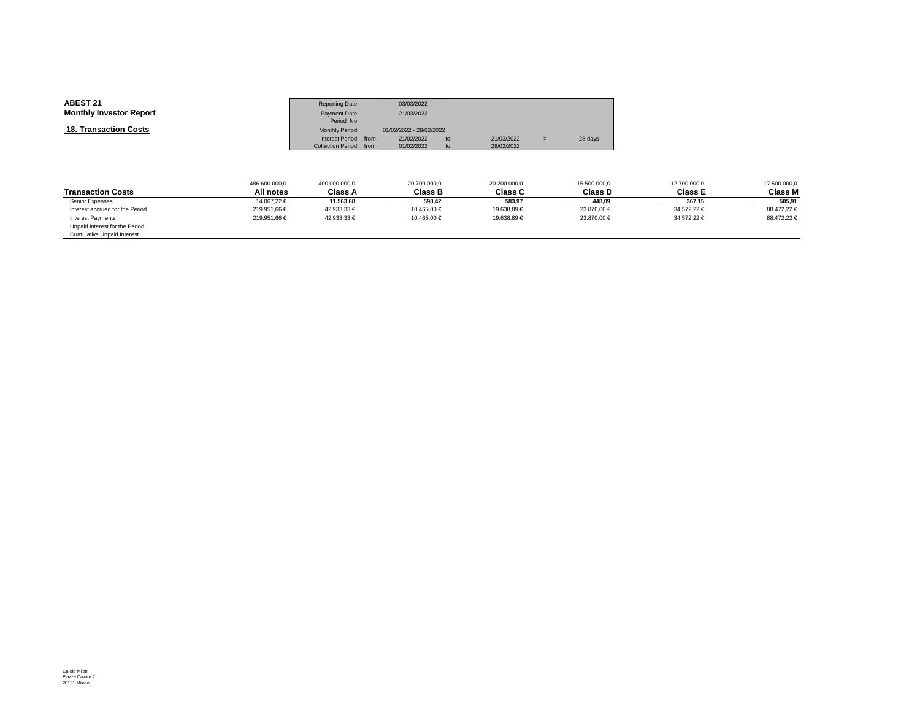| <b>ABEST 21</b>                | <b>Reporting Date</b>    |      | 03/03/2022              |    |            |     |         |
|--------------------------------|--------------------------|------|-------------------------|----|------------|-----|---------|
| <b>Monthly Investor Report</b> | <b>Payment Date</b>      |      | 21/03/2022              |    |            |     |         |
|                                | Period No                |      |                         |    |            |     |         |
| <b>18. Transaction Costs</b>   | <b>Monthly Period</b>    |      | 01/02/2022 - 28/02/2022 |    |            |     |         |
|                                | Interest Period          | from | 21/02/2022              | to | 21/03/2022 | $=$ | 28 days |
|                                | <b>Collection Period</b> | from | 01/02/2022              | to | 28/02/2022 |     |         |

|                                 | 486.600.000,0 | 400.000.000,0  | 20.700.000,0 | 20.200.000,0   | 15.500.000,0 | 12.700.000,0   | 17.500.000,0   |
|---------------------------------|---------------|----------------|--------------|----------------|--------------|----------------|----------------|
| <b>Transaction Costs</b>        | All notes     | <b>Class A</b> | Class B      | <b>Class C</b> | Class D      | <b>Class E</b> | <b>Class M</b> |
| Senior Expenses                 | 14.067.22 €   | 11.563.68      | 598.42       | 583.97         | 448.09       | 367.15         | 505.91         |
| Interest accrued for the Period | 219.951,66 €  | 42.933,33 €    | 10.465.00 €  | 19.638,89 €    | 23.870,00 €  | 34.572,22 €    | 88.472,22 €    |
| <b>Interest Payments</b>        | 219.951.66 €  | 42.933.33 €    | 10.465.00 €  | 19.638.89 €    | 23.870.00 €  | 34.572.22 €    | 88.472,22 €    |
| Unpaid Interest for the Period  |               |                |              |                |              |                |                |
| Cumulative Unpaid Interest      |               |                |              |                |              |                |                |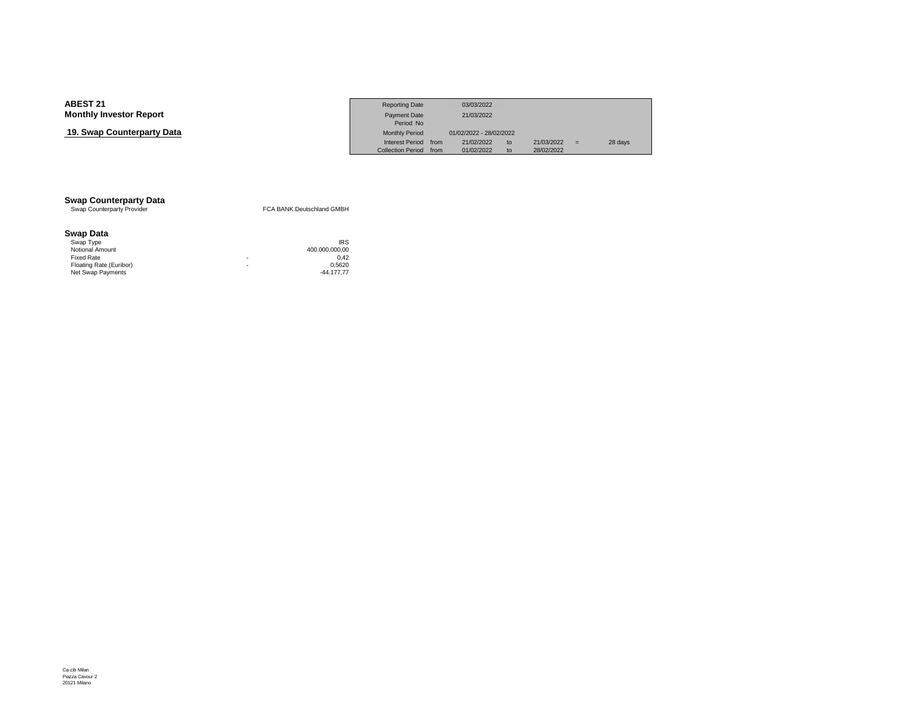## **19. Swap Counterparty Data**

|                            | <b>Reporting Date</b>    |      | 03/03/2022              |    |            |   |         |
|----------------------------|--------------------------|------|-------------------------|----|------------|---|---------|
| Investor Report            | <b>Payment Date</b>      |      | 21/03/2022              |    |            |   |         |
|                            | Period No                |      |                         |    |            |   |         |
| <b>› Counterpartv Data</b> | <b>Monthly Period</b>    |      | 01/02/2022 - 28/02/2022 |    |            |   |         |
|                            | <b>Interest Period</b>   | from | 21/02/2022              | to | 21/03/2022 | = | 28 days |
|                            | <b>Collection Period</b> | from | 01/02/2022              | to | 28/02/2022 |   |         |

# **Swap Counterparty Data**<br>
Swap Counterparty Provider

FCA BANK Deutschland GMBH

#### **Swap Data**

| Swap Type               |   | <b>IRS</b>     |
|-------------------------|---|----------------|
| Notional Amount         |   | 400.000.000.00 |
| Fixed Rate              | ٠ | 0.42           |
| Floating Rate (Euribor) | ۰ | 0.5620         |
| Net Swap Payments       |   | $-44.177.77$   |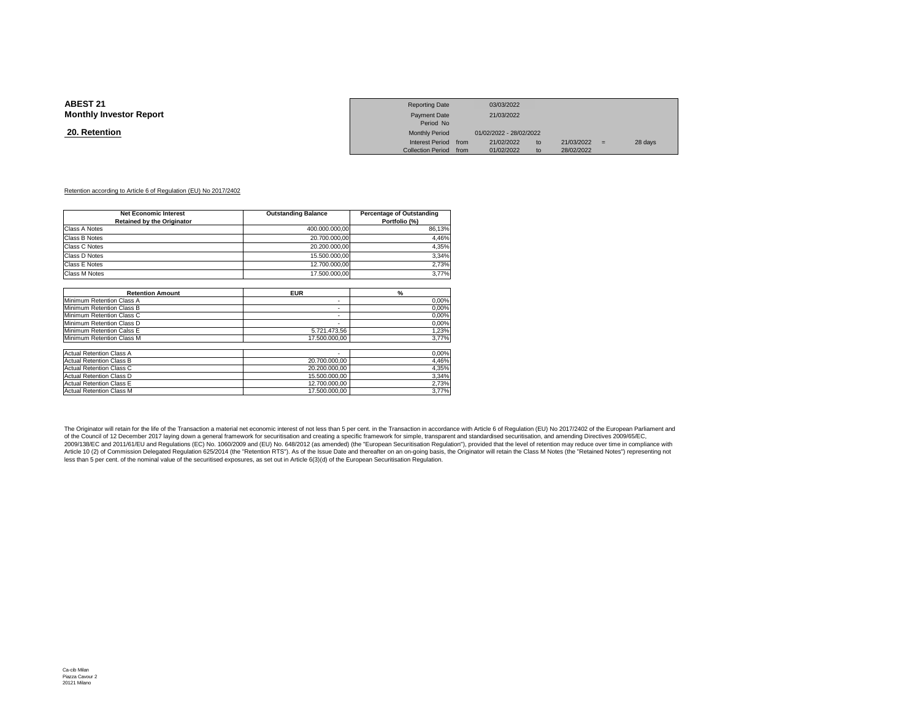#### **20. Retention**

|                 | <b>Reporting Date</b>  | 03/03/2022              |    |            |     |         |
|-----------------|------------------------|-------------------------|----|------------|-----|---------|
| Investor Report | Payment Date           | 21/03/2022              |    |            |     |         |
|                 | Period No              |                         |    |            |     |         |
| <u>ntion</u>    | <b>Monthly Period</b>  | 01/02/2022 - 28/02/2022 |    |            |     |         |
|                 | Interest Period from   | 21/02/2022              | to | 21/03/2022 | $=$ | 28 days |
|                 | Collection Period from | 01/02/2022              | to | 28/02/2022 |     |         |

#### Retention according to Article 6 of Regulation (EU) No 2017/2402

| <b>Net Economic Interest</b><br><b>Retained by the Originator</b> | <b>Outstanding Balance</b> | Percentage of Outstanding<br>Portfolio (%) |
|-------------------------------------------------------------------|----------------------------|--------------------------------------------|
| Class A Notes                                                     | 400.000.000,00             | 86,13%                                     |
| Class B Notes                                                     | 20.700.000,00              | 4,46%                                      |
| Class C Notes                                                     | 20.200.000.00              | 4,35%                                      |
| Class D Notes                                                     | 15.500.000.00              | 3,34%                                      |
| Class E Notes                                                     | 12.700.000.00              | 2,73%                                      |
| Class M Notes                                                     | 17.500.000.00              | 3,77%                                      |
|                                                                   |                            |                                            |
| <b>Retention Amount</b>                                           | <b>EUR</b>                 | $\frac{9}{6}$                              |
| Minimum Retention Class A                                         | ۰                          | 0,00%                                      |
| Minimum Retention Class B                                         | ۰                          | 0,00%                                      |
| Minimum Retention Class C                                         | ۰                          | 0,00%                                      |
| Minimum Retention Class D                                         | $\sim$                     | 0,00%                                      |
| Minimum Retention Calss E                                         | 5.721.473,56               | 1,23%                                      |
| Minimum Retention Class M                                         | 17.500.000.00              | 3,77%                                      |
| <b>Actual Retention Class A</b>                                   |                            | 0,00%                                      |
| <b>Actual Retention Class B</b>                                   | 20.700.000.00              | 4,46%                                      |
| <b>Actual Retention Class C</b>                                   | 20.200.000,00              | 4,35%                                      |
| <b>Actual Retention Class D</b>                                   | 15.500.000.00              | 3,34%                                      |
| <b>Actual Retention Class E</b>                                   | 12.700.000.00              | 2,73%                                      |
| <b>Actual Retention Class M</b>                                   | 17.500.000.00              | 3,77%                                      |

The Originator will retain for the life of the Transaction a material net economic interest of not less than 5 per cent. in the Transaction in accordance with Article 6 of Regulation (EU) No 2017/2402 of the European Parli of the Council of 12 December 2017 laying down a general framework for securitisation and creating a specific framework for simple, transparent and standardised securitisation, and amending Directives 2009/65/EC, 2009/138/EC and 2011/61/EU and Regulations (EC) No. 1060/2009 and (EU) No. 648/2012 (as amended) (the "European Securitisation Regulation"), provided that the level of retention may reduce over time in compliance with<br>Arti less than 5 per cent. of the nominal value of the securitised exposures, as set out in Article 6(3)(d) of the European Securitisation Regulation.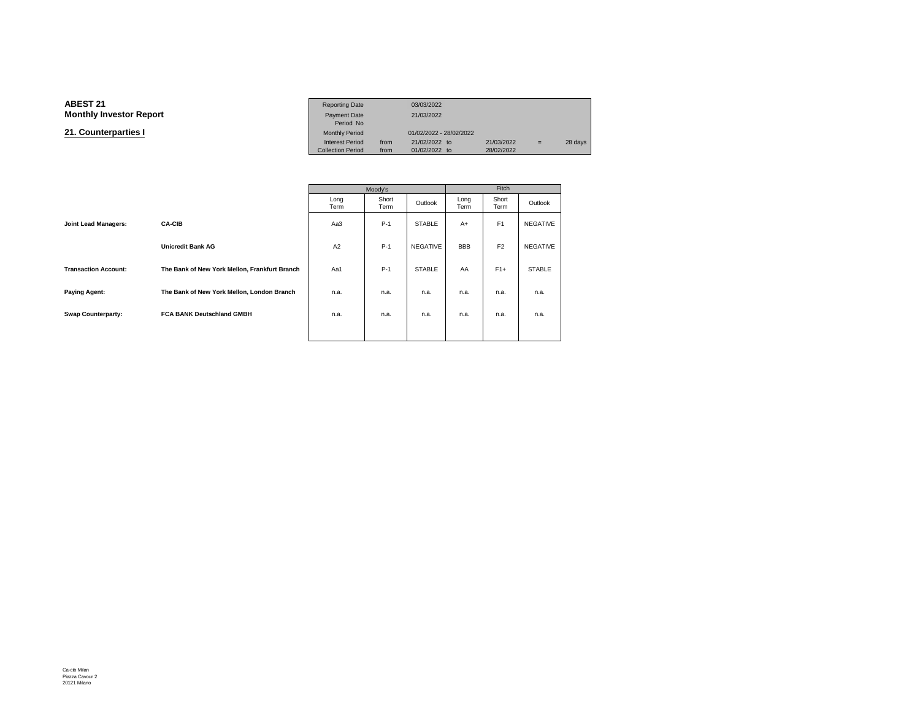#### **ABEST 21**Reporting Date 03/03/2022<br>Payment Date 21/03/2022 **Monthly Investor Report** Payment Date 21/03/2022Period NoMonthly Period **21. Counterparties I**01/02/2022 - 28/02/2022 Interest Period from 21/02/2022 to 21/03/2022 = 28 days<br>Collection Period from 01/02/2022 to 28/02/2022 Collection Period

|                             |                                               |              | Moody's       |                 | Fitch        |                |                 |  |
|-----------------------------|-----------------------------------------------|--------------|---------------|-----------------|--------------|----------------|-----------------|--|
|                             |                                               | Long<br>Term | Short<br>Term | Outlook         | Long<br>Term | Short<br>Term  | Outlook         |  |
| <b>Joint Lead Managers:</b> | <b>CA-CIB</b>                                 | Aa3          | $P-1$         | <b>STABLE</b>   | $A+$         | F <sub>1</sub> | NEGATIVE        |  |
|                             | <b>Unicredit Bank AG</b>                      | A2           | $P-1$         | <b>NEGATIVE</b> | <b>BBB</b>   | F <sub>2</sub> | <b>NEGATIVE</b> |  |
| <b>Transaction Account:</b> | The Bank of New York Mellon, Frankfurt Branch | Aa1          | $P-1$         | <b>STABLE</b>   | AA           | $F1+$          | <b>STABLE</b>   |  |
| <b>Paying Agent:</b>        | The Bank of New York Mellon, London Branch    | n.a.         | n.a.          | n.a.            | n.a.         | n.a.           | n.a.            |  |
| <b>Swap Counterparty:</b>   | <b>FCA BANK Deutschland GMBH</b>              | n.a.         | n.a.          | n.a.            | n.a.         | n.a.           | n.a.            |  |
|                             |                                               |              |               |                 |              |                |                 |  |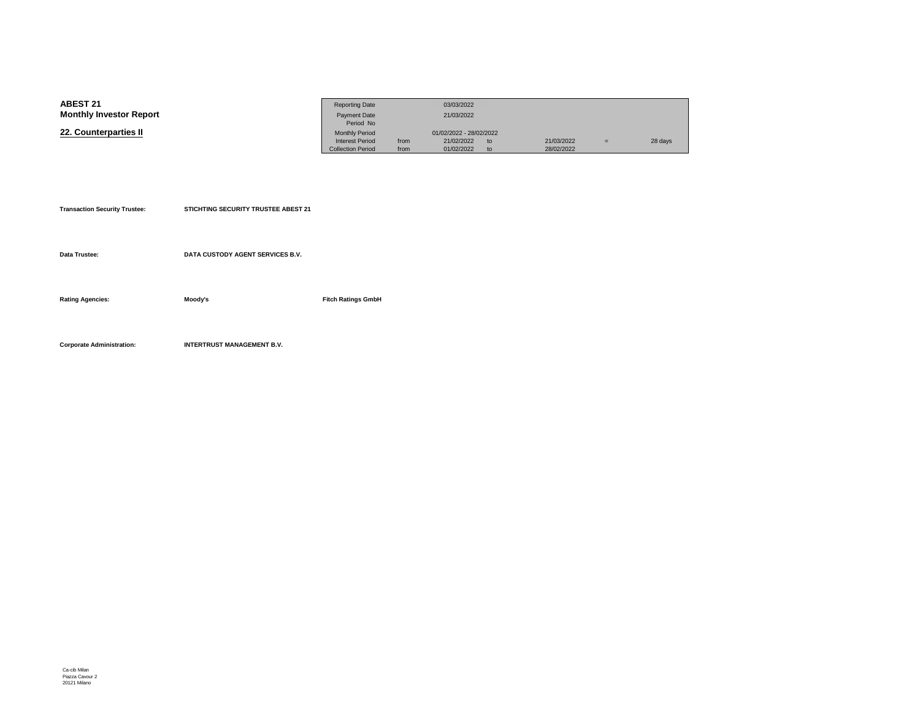| <b>ABEST 21</b>                | <b>Reporting Date</b>    |      | 03/03/2022                  |            |     |         |
|--------------------------------|--------------------------|------|-----------------------------|------------|-----|---------|
| <b>Monthly Investor Report</b> | <b>Payment Date</b>      |      | 21/03/2022                  |            |     |         |
|                                | Period No                |      |                             |            |     |         |
| 22. Counterparties II          | <b>Monthly Period</b>    |      | 01/02/2022 - 28/02/2022     |            |     |         |
|                                | <b>Interest Period</b>   | from | 21/02/2022<br>to            | 21/03/2022 | $=$ | 28 days |
|                                | <b>Collection Period</b> | from | 01/02/2022<br>$\mathsf{to}$ | 28/02/2022 |     |         |

| <b>Transaction Security Trustee:</b> | STICHTING SECURITY TRUSTEE ABEST 21 |                           |
|--------------------------------------|-------------------------------------|---------------------------|
| Data Trustee:                        | DATA CUSTODY AGENT SERVICES B.V.    |                           |
| <b>Rating Agencies:</b>              | Moody's                             | <b>Fitch Ratings GmbH</b> |
| <b>Corporate Administration:</b>     | <b>INTERTRUST MANAGEMENT B.V.</b>   |                           |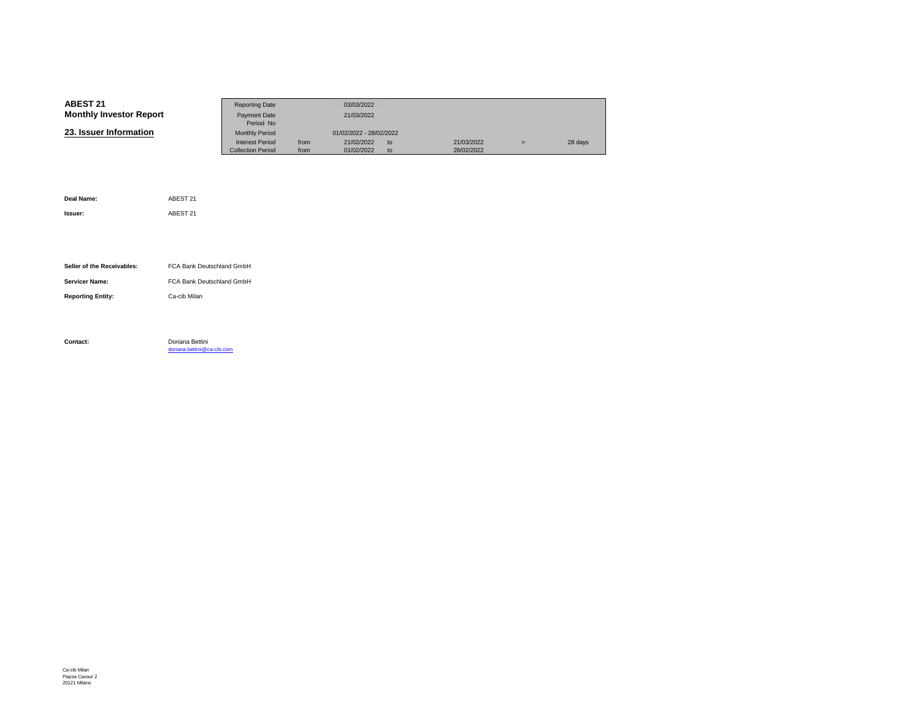| <b>ABEST 21</b>                | <b>Reporting Date</b>    |      | 03/03/2022              |    |            |   |         |
|--------------------------------|--------------------------|------|-------------------------|----|------------|---|---------|
| <b>Monthly Investor Report</b> | Payment Date             |      | 21/03/2022              |    |            |   |         |
|                                | Period No                |      |                         |    |            |   |         |
| 23. Issuer Information         | <b>Monthly Period</b>    |      | 01/02/2022 - 28/02/2022 |    |            |   |         |
|                                | <b>Interest Period</b>   | from | 21/02/2022              | to | 21/03/2022 | Ξ | 28 days |
|                                | <b>Collection Period</b> | from | 01/02/2022              | to | 28/02/2022 |   |         |

| Deal Name:                 | ABEST 21                                      |
|----------------------------|-----------------------------------------------|
| Issuer:                    | ABEST 21                                      |
|                            |                                               |
|                            |                                               |
| Seller of the Receivables: | FCA Bank Deutschland GmbH                     |
| <b>Servicer Name:</b>      | FCA Bank Deutschland GmbH                     |
|                            |                                               |
| <b>Reporting Entity:</b>   | Ca-cib Milan                                  |
|                            |                                               |
|                            |                                               |
| Contact:                   | Doriana Bettini<br>doriana.bettini@ca-cib.com |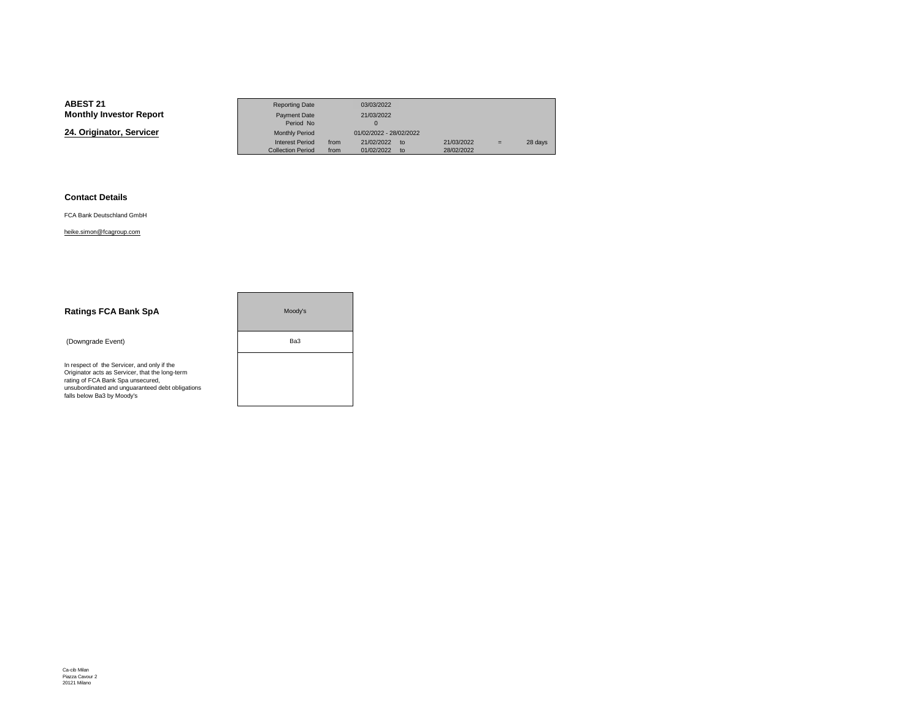**24. Originator, Servicer**

|                 | <b>Reporting Date</b>    |      | 03/03/2022              |               |            |     |         |
|-----------------|--------------------------|------|-------------------------|---------------|------------|-----|---------|
| Investor Report | <b>Payment Date</b>      |      | 21/03/2022              |               |            |     |         |
|                 | Period No                |      |                         |               |            |     |         |
| nator. Servicer | <b>Monthly Period</b>    |      | 01/02/2022 - 28/02/2022 |               |            |     |         |
|                 | <b>Interest Period</b>   | from | 21/02/2022              | $\mathsf{to}$ | 21/03/2022 | $=$ | 28 days |
|                 | <b>Collection Period</b> | from | 01/02/2022              | $\mathsf{to}$ | 28/02/2022 |     |         |

#### **Contact Details**

FCA Bank Deutschland GmbH

#### heike.simon@fcagroup.com

| <b>Ratings FCA Bank SpA</b>                                                                                                                                                                                           | Moodv's |
|-----------------------------------------------------------------------------------------------------------------------------------------------------------------------------------------------------------------------|---------|
| (Downgrade Event)                                                                                                                                                                                                     | Ba3     |
| In respect of the Servicer, and only if the<br>Originator acts as Servicer, that the long-term<br>rating of FCA Bank Spa unsecured,<br>unsubordinated and unquaranteed debt obligations<br>falls below Ba3 by Moody's |         |